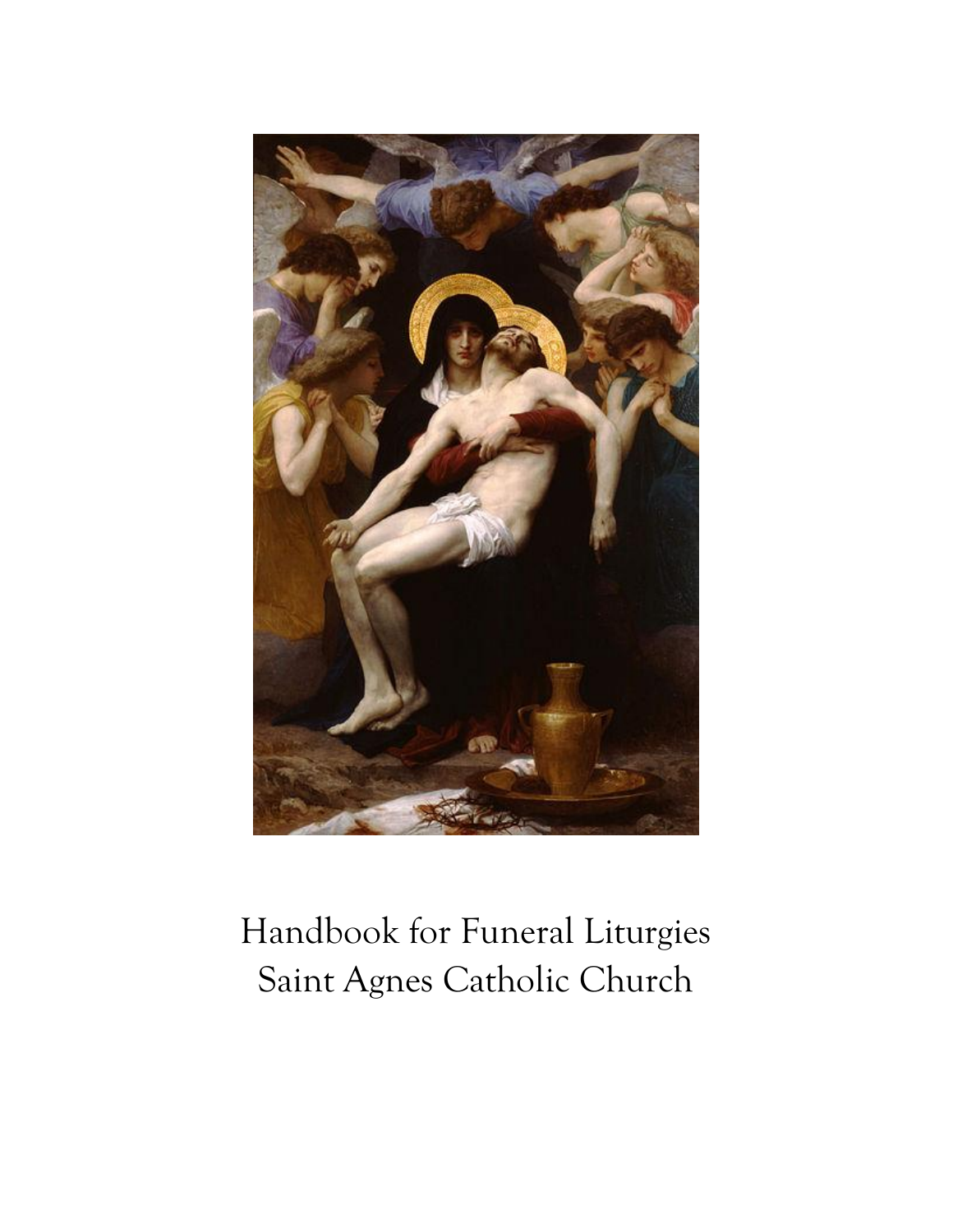

# Handbook for Funeral Liturgies Saint Agnes Catholic Church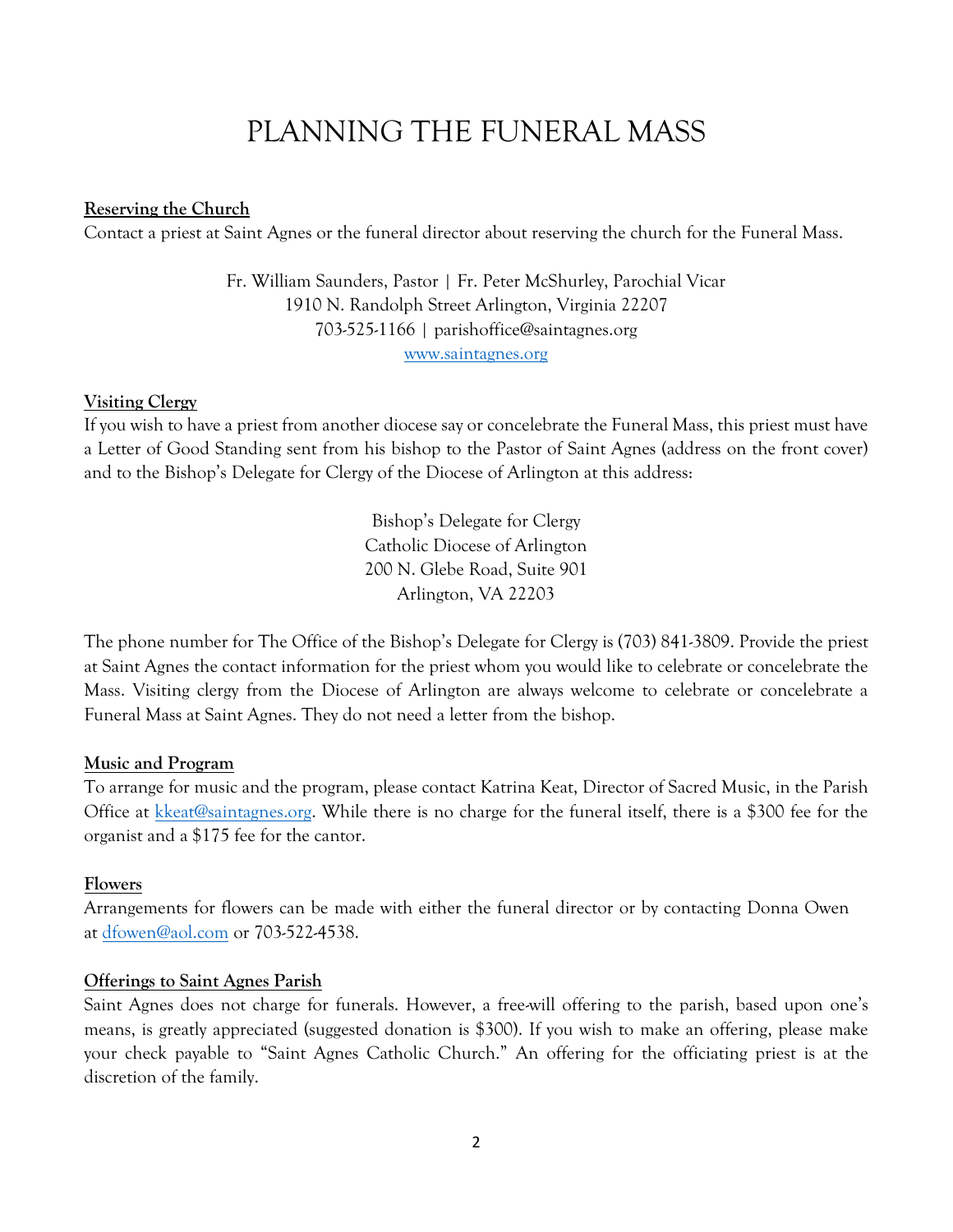## PLANNING THE FUNERAL MASS

#### **Reserving the Church**

Contact a priest at Saint Agnes or the funeral director about reserving the church for the Funeral Mass.

Fr. William Saunders, Pastor | Fr. Peter McShurley, Parochial Vicar 1910 N. Randolph Street Arlington, Virginia 22207 703-525-1166 | parishoffice@saintagnes.org [www.saintagnes.org](http://www.saintagnes.org/)

#### **Visiting Clergy**

If you wish to have a priest from another diocese say or concelebrate the Funeral Mass, this priest must have a Letter of Good Standing sent from his bishop to the Pastor of Saint Agnes (address on the front cover) and to the Bishop's Delegate for Clergy of the Diocese of Arlington at this address:

> Bishop's Delegate for Clergy Catholic Diocese of Arlington 200 N. Glebe Road, Suite 901 Arlington, VA 22203

The phone number for The Office of the Bishop's Delegate for Clergy is (703) 841-3809. Provide the priest at Saint Agnes the contact information for the priest whom you would like to celebrate or concelebrate the Mass. Visiting clergy from the Diocese of Arlington are always welcome to celebrate or concelebrate a Funeral Mass at Saint Agnes. They do not need a letter from the bishop.

#### **Music and Program**

To arrange for music and the program, please contact Katrina Keat, Director of Sacred Music, in the Parish Office at [kkeat@saintagnes.org.](mailto:kkeat@saintagnes.org) While there is no charge for the funeral itself, there is a \$300 fee for the organist and a \$175 fee for the cantor.

#### **Flowers**

Arrangements for flowers can be made with either the funeral director or by contacting Donna Owen at [dfowen@](mailto:dfowen1@comcast.net)aol.com or 703-522-4538.

#### **Offerings to Saint Agnes Parish**

Saint Agnes does not charge for funerals. However, a free-will offering to the parish, based upon one's means, is greatly appreciated (suggested donation is \$300). If you wish to make an offering, please make your check payable to "Saint Agnes Catholic Church." An offering for the officiating priest is at the discretion of the family.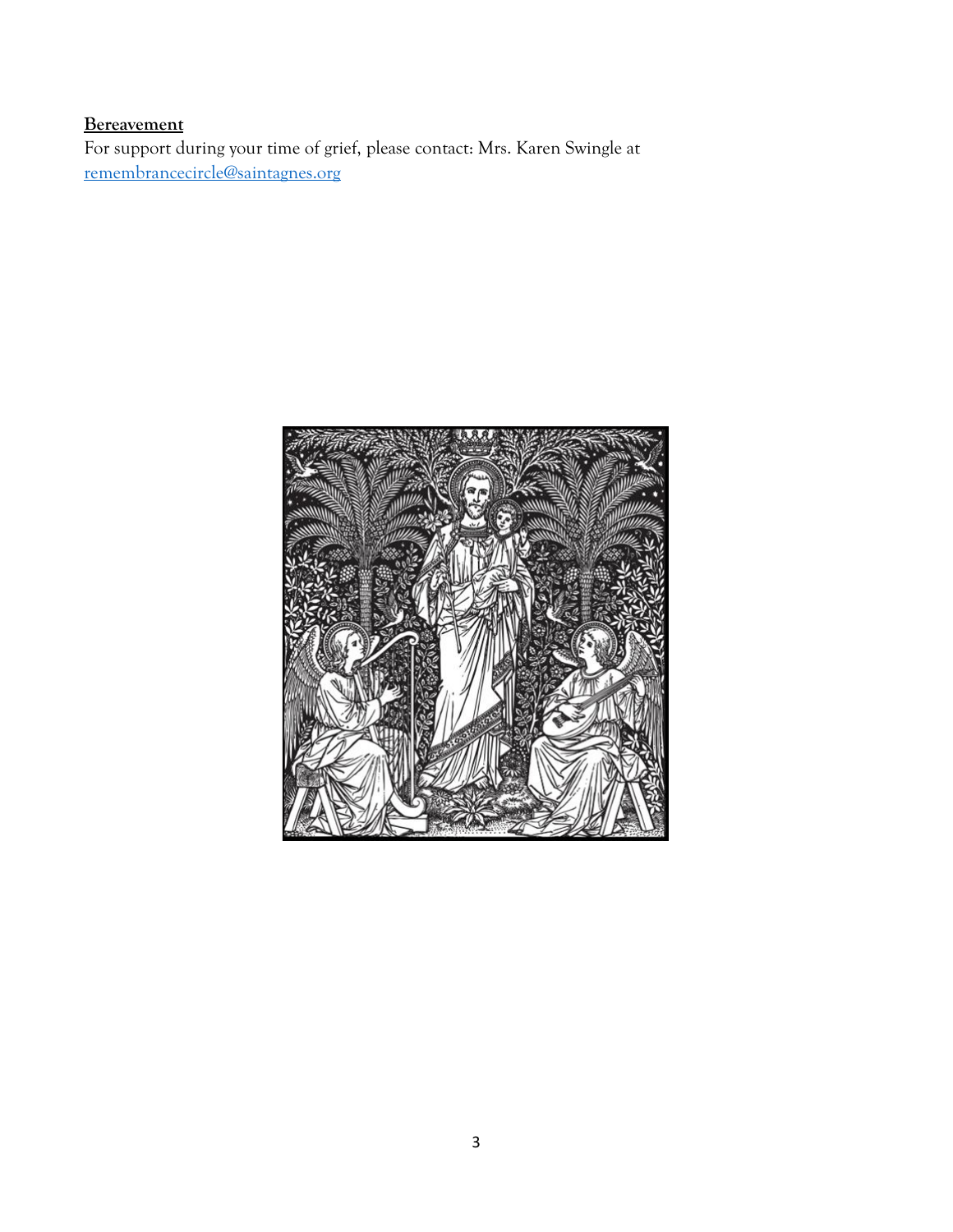#### **Bereavement**

For support during your time of grief, please contact: Mrs. Karen Swingle at [remembrancecircle@saintagnes.org](mailto:remembrancecircle@saintagnes.org)

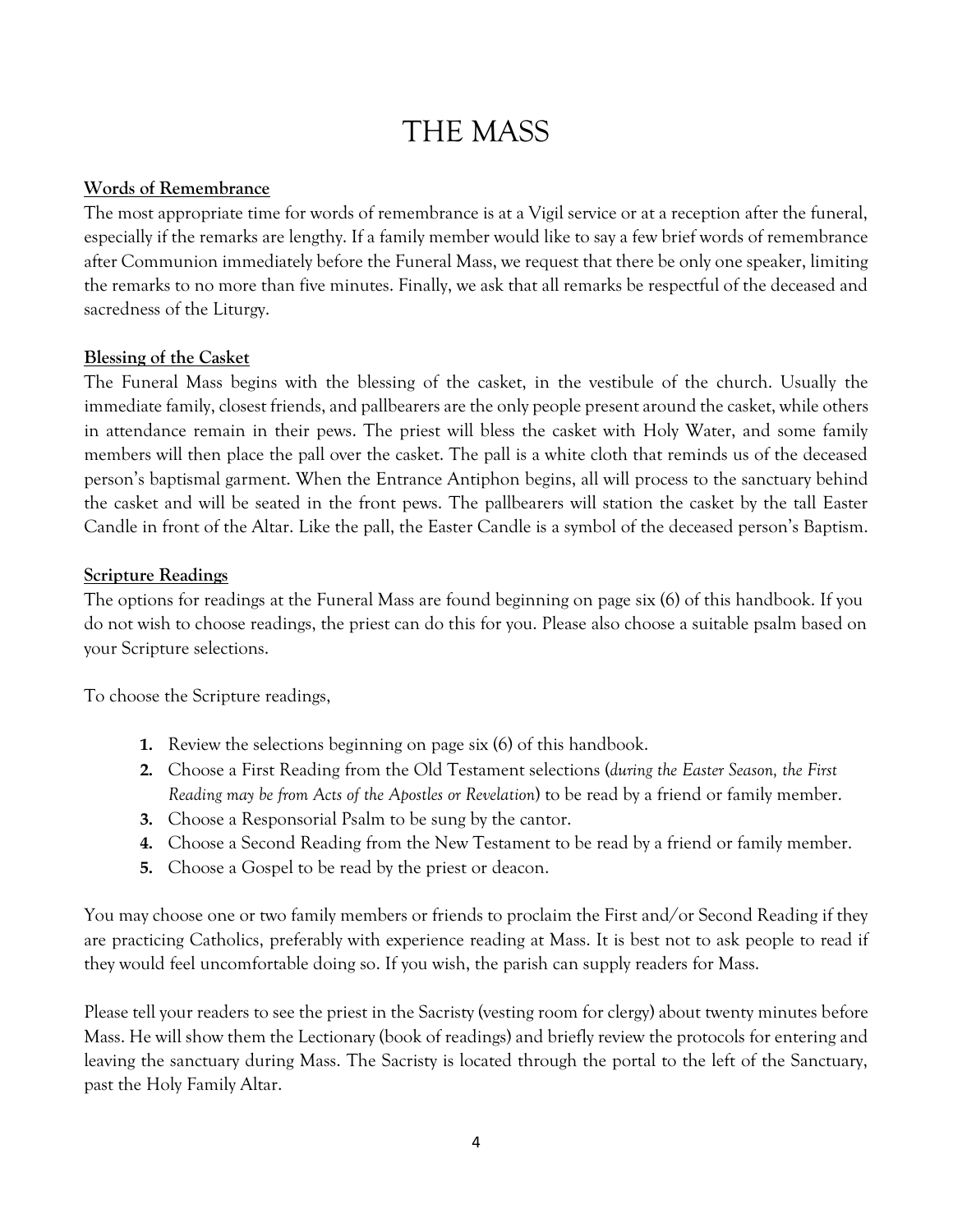## THE MASS

#### **Words of Remembrance**

The most appropriate time for words of remembrance is at a Vigil service or at a reception after the funeral, especially if the remarks are lengthy. If a family member would like to say a few brief words of remembrance after Communion immediately before the Funeral Mass, we request that there be only one speaker, limiting the remarks to no more than five minutes. Finally, we ask that all remarks be respectful of the deceased and sacredness of the Liturgy.

#### **Blessing of the Casket**

The Funeral Mass begins with the blessing of the casket, in the vestibule of the church. Usually the immediate family, closest friends, and pallbearers are the only people present around the casket, while others in attendance remain in their pews. The priest will bless the casket with Holy Water, and some family members will then place the pall over the casket. The pall is a white cloth that reminds us of the deceased person's baptismal garment. When the Entrance Antiphon begins, all will process to the sanctuary behind the casket and will be seated in the front pews. The pallbearers will station the casket by the tall Easter Candle in front of the Altar. Like the pall, the Easter Candle is a symbol of the deceased person's Baptism.

#### **Scripture Readings**

The options for readings at the Funeral Mass are found beginning on page six (6) of this handbook. If you do not wish to choose readings, the priest can do this for you. Please also choose a suitable psalm based on your Scripture selections.

To choose the Scripture readings,

- **1.** Review the selections beginning on page six (6) of this handbook.
- **2.** Choose a First Reading from the Old Testament selections (*during the Easter Season, the First Reading may be from Acts of the Apostles or Revelation*) to be read by a friend or family member.
- **3.** Choose a Responsorial Psalm to be sung by the cantor.
- **4.** Choose a Second Reading from the New Testament to be read by a friend or family member.
- **5.** Choose a Gospel to be read by the priest or deacon.

You may choose one or two family members or friends to proclaim the First and/or Second Reading if they are practicing Catholics, preferably with experience reading at Mass. It is best not to ask people to read if they would feel uncomfortable doing so. If you wish, the parish can supply readers for Mass.

Please tell your readers to see the priest in the Sacristy (vesting room for clergy) about twenty minutes before Mass. He will show them the Lectionary (book of readings) and briefly review the protocols for entering and leaving the sanctuary during Mass. The Sacristy is located through the portal to the left of the Sanctuary, past the Holy Family Altar.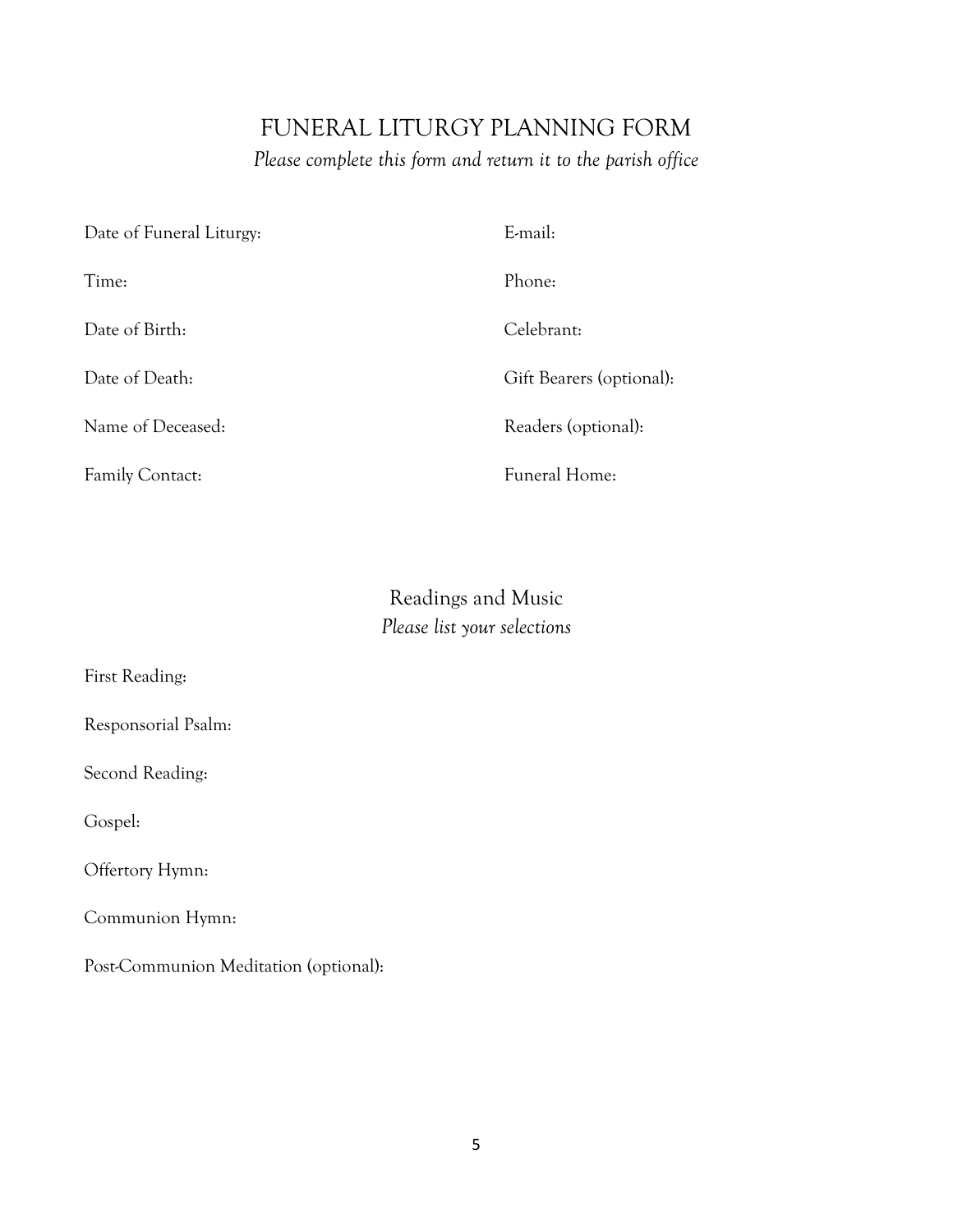## FUNERAL LITURGY PLANNING FORM

*Please complete this form and return it to the parish office*

| Date of Funeral Liturgy: | E-mail:                  |
|--------------------------|--------------------------|
| Time:                    | Phone:                   |
| Date of Birth:           | Celebrant:               |
| Date of Death:           | Gift Bearers (optional): |
| Name of Deceased:        | Readers (optional):      |
| <b>Family Contact:</b>   | Funeral Home:            |

Readings and Music *Please list your selections*

| First Reading:      |
|---------------------|
| Responsorial Psalm: |
| Second Reading:     |
| Gospel:             |
| Offertory Hymn:     |
| Communion Hymn:     |
|                     |

Post-Communion Meditation (optional):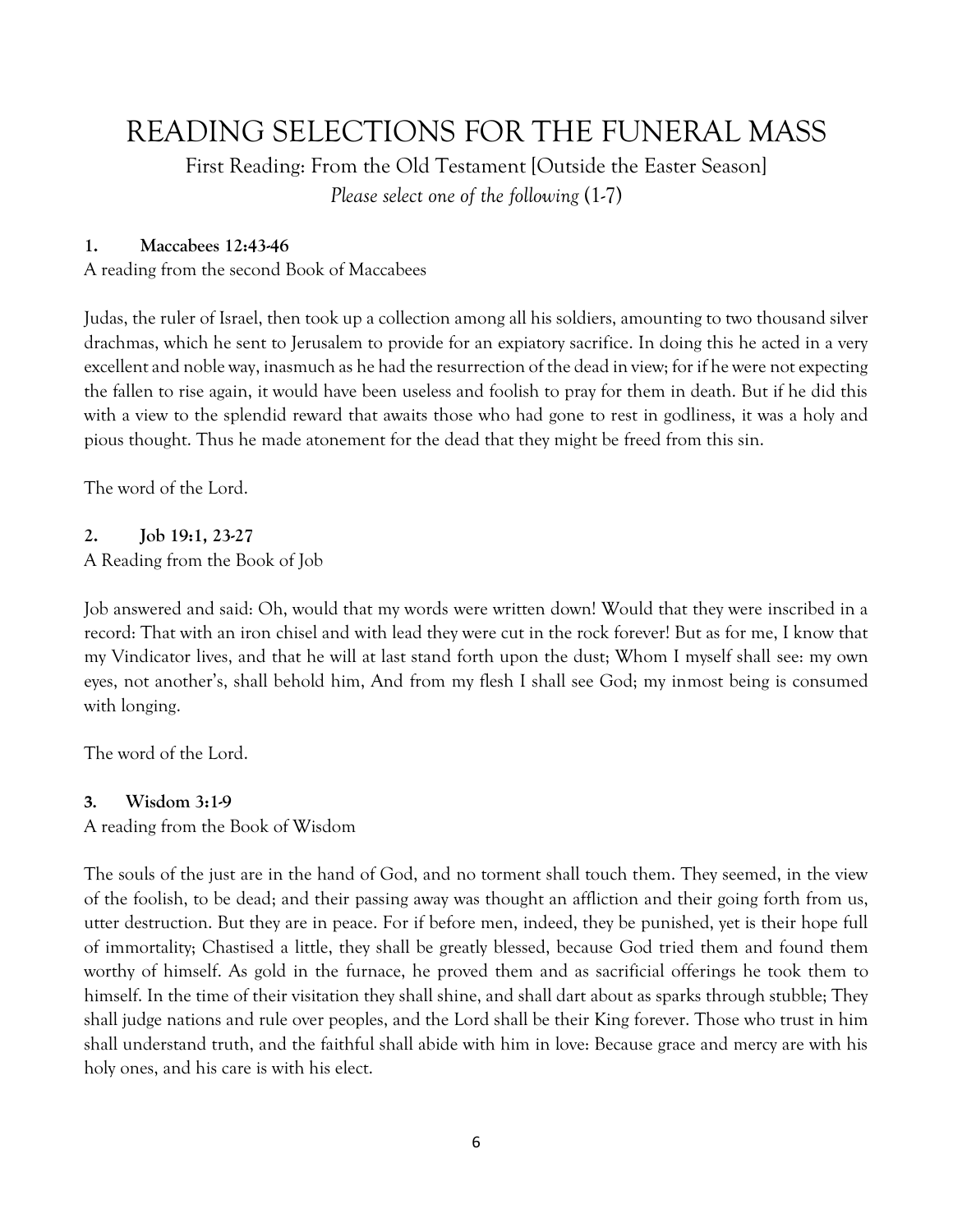## READING SELECTIONS FOR THE FUNERAL MASS

First Reading: From the Old Testament [Outside the Easter Season] *Please select one of the following* (1-7)

#### **1. Maccabees 12:43-46**

A reading from the second Book of Maccabees

Judas, the ruler of Israel, then took up a collection among all his soldiers, amounting to two thousand silver drachmas, which he sent to Jerusalem to provide for an expiatory sacrifice. In doing this he acted in a very excellent and noble way, inasmuch as he had the resurrection of the dead in view; for if he were not expecting the fallen to rise again, it would have been useless and foolish to pray for them in death. But if he did this with a view to the splendid reward that awaits those who had gone to rest in godliness, it was a holy and pious thought. Thus he made atonement for the dead that they might be freed from this sin.

The word of the Lord.

**2. Job 19:1, 23-27** A Reading from the Book of Job

Job answered and said: Oh, would that my words were written down! Would that they were inscribed in a record: That with an iron chisel and with lead they were cut in the rock forever! But as for me, I know that my Vindicator lives, and that he will at last stand forth upon the dust; Whom I myself shall see: my own eyes, not another's, shall behold him, And from my flesh I shall see God; my inmost being is consumed with longing.

The word of the Lord.

#### **3. Wisdom 3:1-9**

A reading from the Book of Wisdom

The souls of the just are in the hand of God, and no torment shall touch them. They seemed, in the view of the foolish, to be dead; and their passing away was thought an affliction and their going forth from us, utter destruction. But they are in peace. For if before men, indeed, they be punished, yet is their hope full of immortality; Chastised a little, they shall be greatly blessed, because God tried them and found them worthy of himself. As gold in the furnace, he proved them and as sacrificial offerings he took them to himself. In the time of their visitation they shall shine, and shall dart about as sparks through stubble; They shall judge nations and rule over peoples, and the Lord shall be their King forever. Those who trust in him shall understand truth, and the faithful shall abide with him in love: Because grace and mercy are with his holy ones, and his care is with his elect.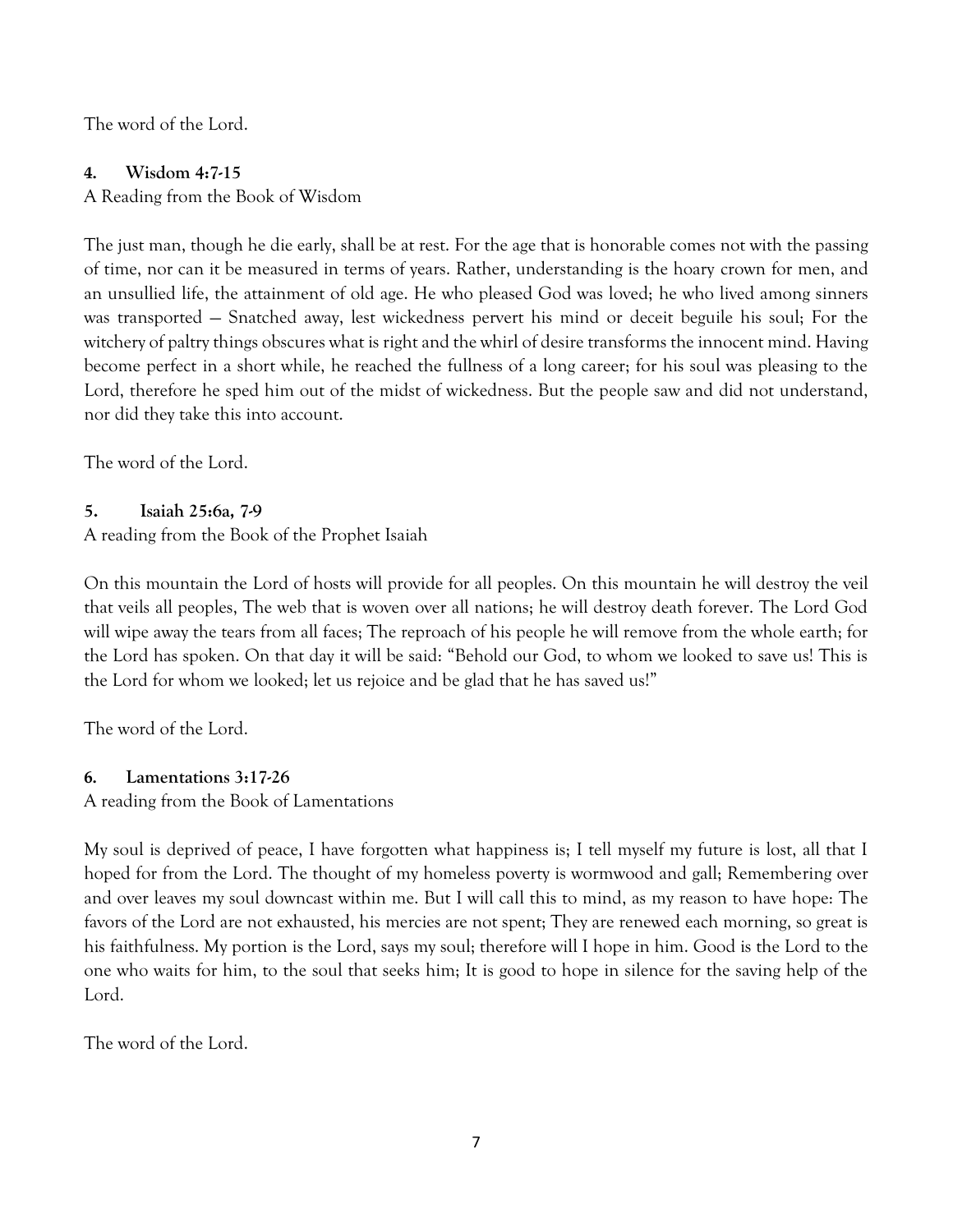The word of the Lord.

#### **4. Wisdom 4:7-15**

A Reading from the Book of Wisdom

The just man, though he die early, shall be at rest. For the age that is honorable comes not with the passing of time, nor can it be measured in terms of years. Rather, understanding is the hoary crown for men, and an unsullied life, the attainment of old age. He who pleased God was loved; he who lived among sinners was transported — Snatched away, lest wickedness pervert his mind or deceit beguile his soul; For the witchery of paltry things obscures what is right and the whirl of desire transforms the innocent mind. Having become perfect in a short while, he reached the fullness of a long career; for his soul was pleasing to the Lord, therefore he sped him out of the midst of wickedness. But the people saw and did not understand, nor did they take this into account.

The word of the Lord.

#### **5. Isaiah 25:6a, 7-9**

A reading from the Book of the Prophet Isaiah

On this mountain the Lord of hosts will provide for all peoples. On this mountain he will destroy the veil that veils all peoples, The web that is woven over all nations; he will destroy death forever. The Lord God will wipe away the tears from all faces; The reproach of his people he will remove from the whole earth; for the Lord has spoken. On that day it will be said: "Behold our God, to whom we looked to save us! This is the Lord for whom we looked; let us rejoice and be glad that he has saved us!"

The word of the Lord.

#### **6. Lamentations 3:17-26**

A reading from the Book of Lamentations

My soul is deprived of peace, I have forgotten what happiness is; I tell myself my future is lost, all that I hoped for from the Lord. The thought of my homeless poverty is wormwood and gall; Remembering over and over leaves my soul downcast within me. But I will call this to mind, as my reason to have hope: The favors of the Lord are not exhausted, his mercies are not spent; They are renewed each morning, so great is his faithfulness. My portion is the Lord, says my soul; therefore will I hope in him. Good is the Lord to the one who waits for him, to the soul that seeks him; It is good to hope in silence for the saving help of the Lord.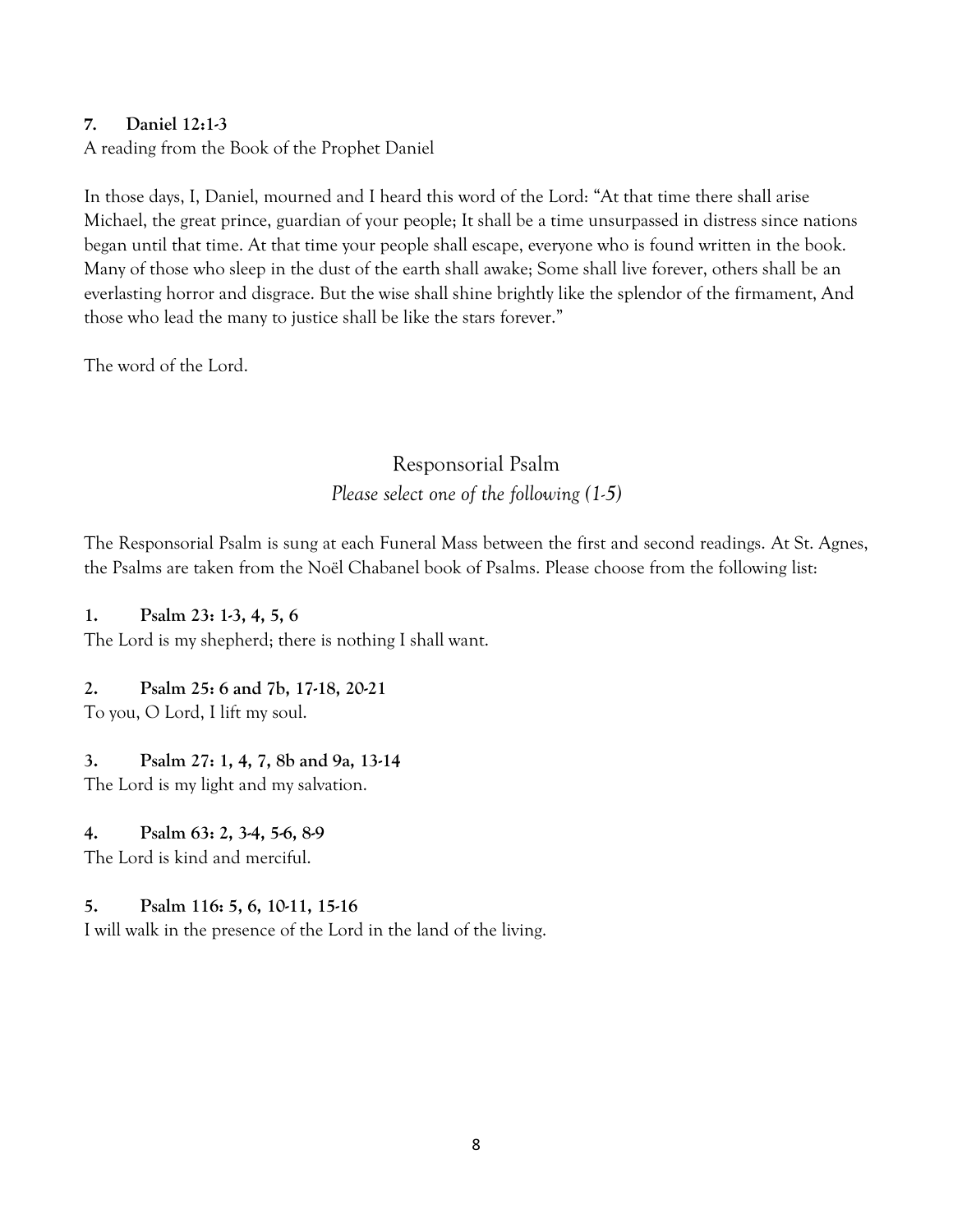#### **7. Daniel 12:1-3**

A reading from the Book of the Prophet Daniel

In those days, I, Daniel, mourned and I heard this word of the Lord: "At that time there shall arise Michael, the great prince, guardian of your people; It shall be a time unsurpassed in distress since nations began until that time. At that time your people shall escape, everyone who is found written in the book. Many of those who sleep in the dust of the earth shall awake; Some shall live forever, others shall be an everlasting horror and disgrace. But the wise shall shine brightly like the splendor of the firmament, And those who lead the many to justice shall be like the stars forever."

The word of the Lord.

### Responsorial Psalm *Please select one of the following (1-5)*

The Responsorial Psalm is sung at each Funeral Mass between the first and second readings. At St. Agnes, the Psalms are taken from the Noël Chabanel book of Psalms. Please choose from the following list:

#### **1. Psalm 23: 1-3, 4, 5, 6**

The Lord is my shepherd; there is nothing I shall want.

## **2. Psalm 25: 6 and 7b, 17-18, 20-21**

To you, O Lord, I lift my soul.

#### **3. Psalm 27: 1, 4, 7, 8b and 9a, 13-14**

The Lord is my light and my salvation.

#### **4. Psalm 63: 2, 3-4, 5-6, 8-9**

The Lord is kind and merciful.

#### **5. Psalm 116: 5, 6, 10-11, 15-16**

I will walk in the presence of the Lord in the land of the living.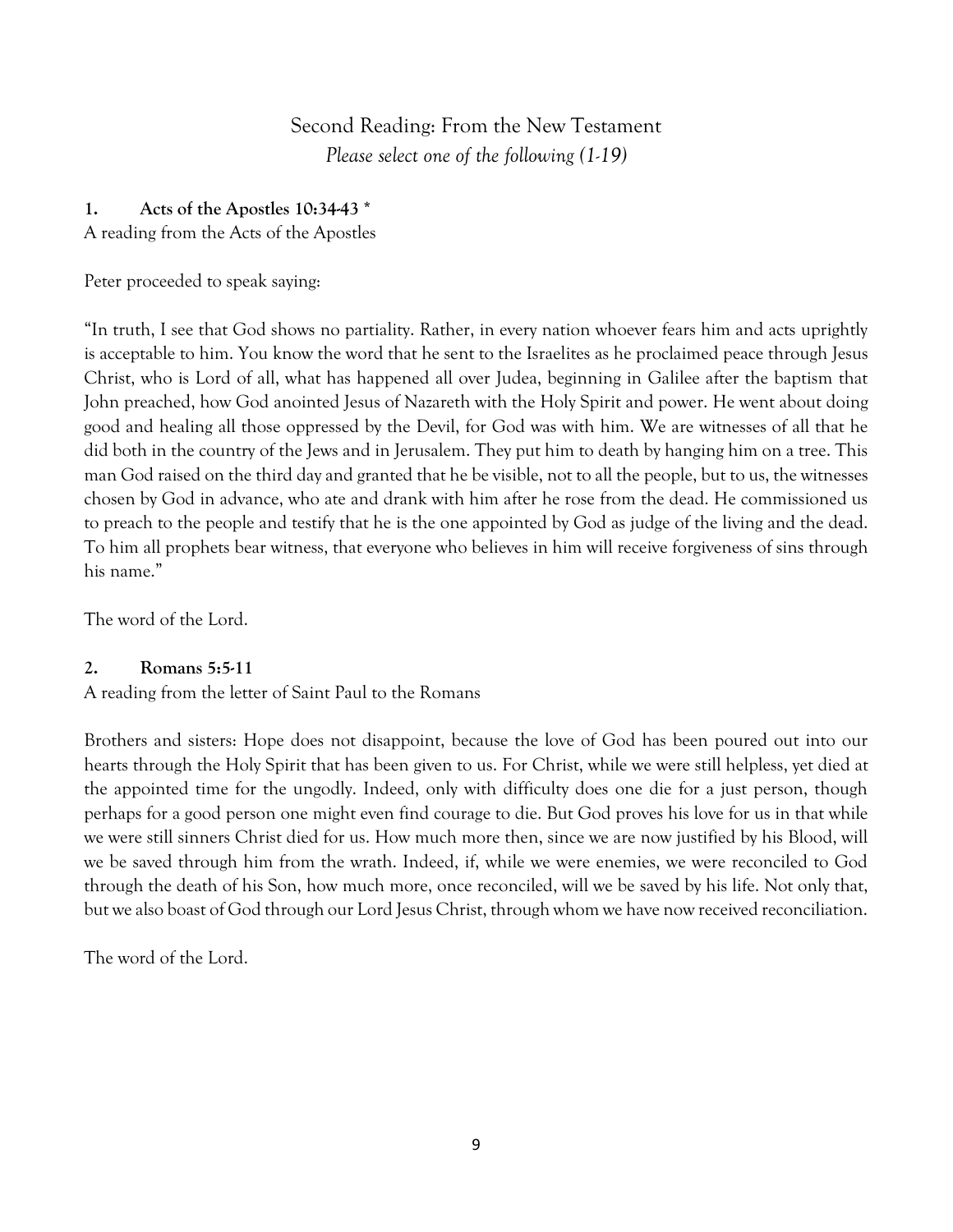### Second Reading: From the New Testament *Please select one of the following (1-19)*

#### **1. Acts of the Apostles 10:34-43 \***

A reading from the Acts of the Apostles

Peter proceeded to speak saying:

"In truth, I see that God shows no partiality. Rather, in every nation whoever fears him and acts uprightly is acceptable to him. You know the word that he sent to the Israelites as he proclaimed peace through Jesus Christ, who is Lord of all, what has happened all over Judea, beginning in Galilee after the baptism that John preached, how God anointed Jesus of Nazareth with the Holy Spirit and power. He went about doing good and healing all those oppressed by the Devil, for God was with him. We are witnesses of all that he did both in the country of the Jews and in Jerusalem. They put him to death by hanging him on a tree. This man God raised on the third day and granted that he be visible, not to all the people, but to us, the witnesses chosen by God in advance, who ate and drank with him after he rose from the dead. He commissioned us to preach to the people and testify that he is the one appointed by God as judge of the living and the dead. To him all prophets bear witness, that everyone who believes in him will receive forgiveness of sins through his name."

The word of the Lord.

#### **2. Romans 5:5-11**

A reading from the letter of Saint Paul to the Romans

Brothers and sisters: Hope does not disappoint, because the love of God has been poured out into our hearts through the Holy Spirit that has been given to us. For Christ, while we were still helpless, yet died at the appointed time for the ungodly. Indeed, only with difficulty does one die for a just person, though perhaps for a good person one might even find courage to die. But God proves his love for us in that while we were still sinners Christ died for us. How much more then, since we are now justified by his Blood, will we be saved through him from the wrath. Indeed, if, while we were enemies, we were reconciled to God through the death of his Son, how much more, once reconciled, will we be saved by his life. Not only that, but we also boast of God through our Lord Jesus Christ, through whom we have now received reconciliation.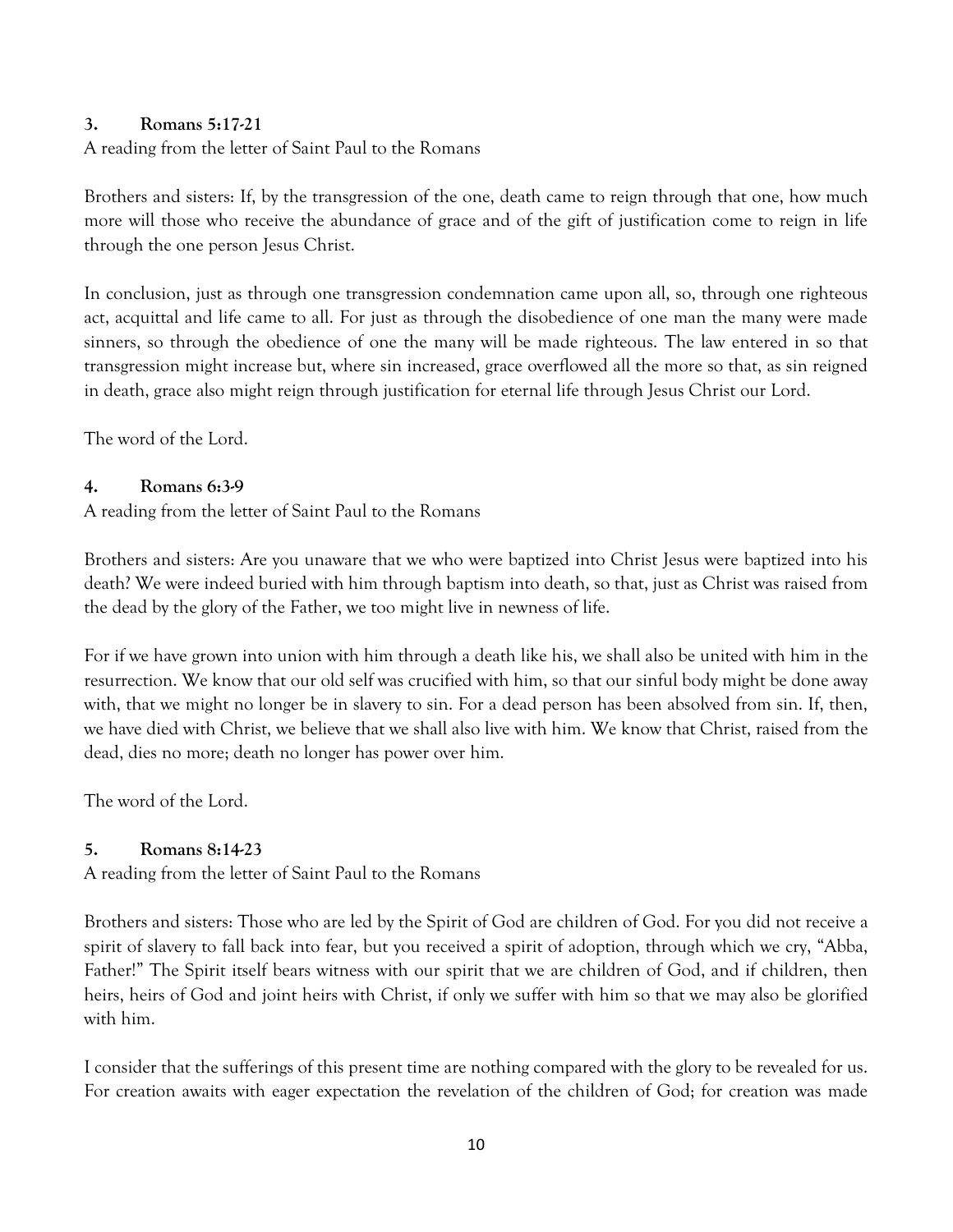#### **3. Romans 5:17-21**

A reading from the letter of Saint Paul to the Romans

Brothers and sisters: If, by the transgression of the one, death came to reign through that one, how much more will those who receive the abundance of grace and of the gift of justification come to reign in life through the one person Jesus Christ.

In conclusion, just as through one transgression condemnation came upon all, so, through one righteous act, acquittal and life came to all. For just as through the disobedience of one man the many were made sinners, so through the obedience of one the many will be made righteous. The law entered in so that transgression might increase but, where sin increased, grace overflowed all the more so that, as sin reigned in death, grace also might reign through justification for eternal life through Jesus Christ our Lord.

The word of the Lord.

#### **4. Romans 6:3-9**

A reading from the letter of Saint Paul to the Romans

Brothers and sisters: Are you unaware that we who were baptized into Christ Jesus were baptized into his death? We were indeed buried with him through baptism into death, so that, just as Christ was raised from the dead by the glory of the Father, we too might live in newness of life.

For if we have grown into union with him through a death like his, we shall also be united with him in the resurrection. We know that our old self was crucified with him, so that our sinful body might be done away with, that we might no longer be in slavery to sin. For a dead person has been absolved from sin. If, then, we have died with Christ, we believe that we shall also live with him. We know that Christ, raised from the dead, dies no more; death no longer has power over him.

The word of the Lord.

#### **5. Romans 8:14-23**

A reading from the letter of Saint Paul to the Romans

Brothers and sisters: Those who are led by the Spirit of God are children of God. For you did not receive a spirit of slavery to fall back into fear, but you received a spirit of adoption, through which we cry, "Abba, Father!" The Spirit itself bears witness with our spirit that we are children of God, and if children, then heirs, heirs of God and joint heirs with Christ, if only we suffer with him so that we may also be glorified with him.

I consider that the sufferings of this present time are nothing compared with the glory to be revealed for us. For creation awaits with eager expectation the revelation of the children of God; for creation was made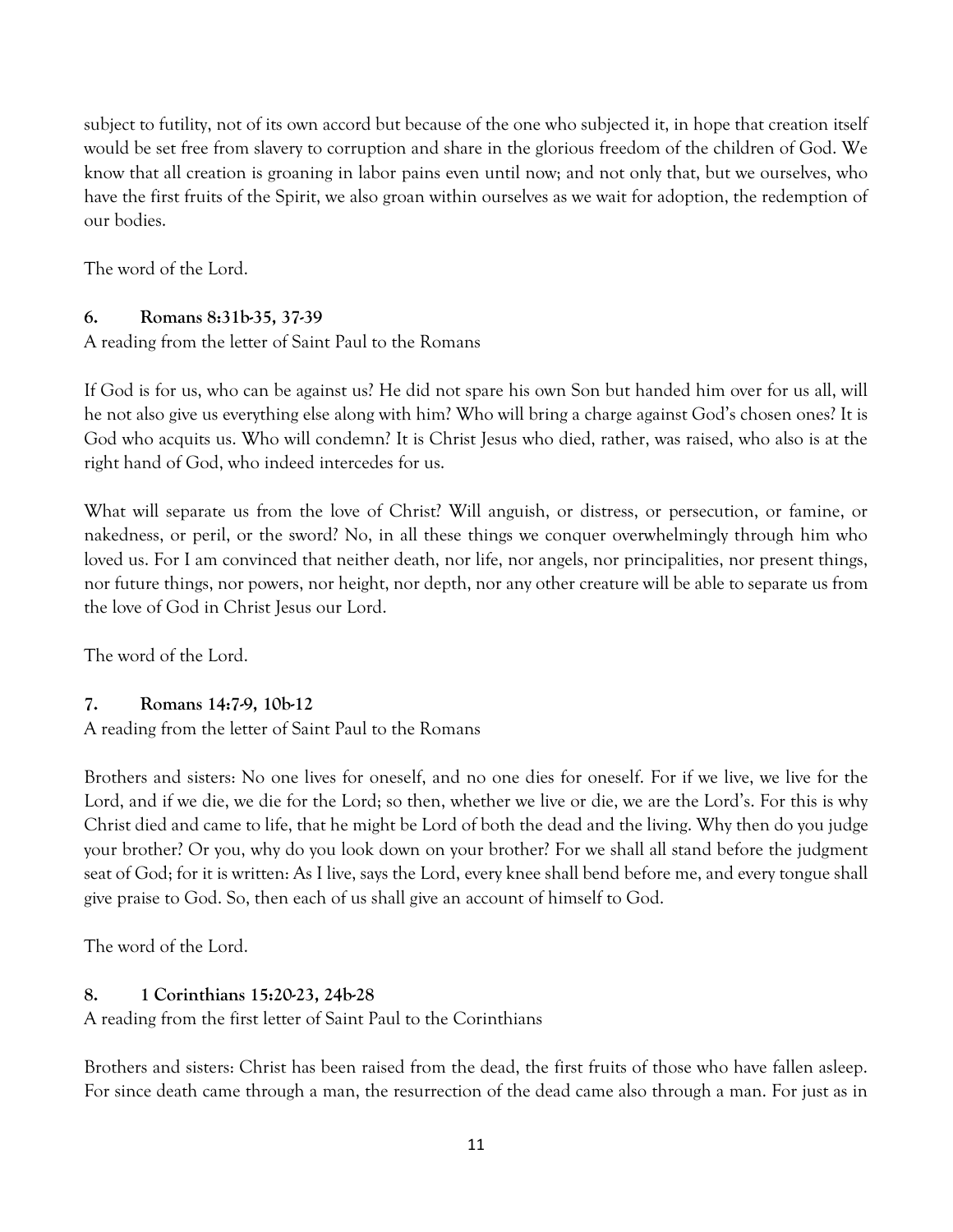subject to futility, not of its own accord but because of the one who subjected it, in hope that creation itself would be set free from slavery to corruption and share in the glorious freedom of the children of God. We know that all creation is groaning in labor pains even until now; and not only that, but we ourselves, who have the first fruits of the Spirit, we also groan within ourselves as we wait for adoption, the redemption of our bodies.

The word of the Lord.

#### **6. Romans 8:31b-35, 37-39**

A reading from the letter of Saint Paul to the Romans

If God is for us, who can be against us? He did not spare his own Son but handed him over for us all, will he not also give us everything else along with him? Who will bring a charge against God's chosen ones? It is God who acquits us. Who will condemn? It is Christ Jesus who died, rather, was raised, who also is at the right hand of God, who indeed intercedes for us.

What will separate us from the love of Christ? Will anguish, or distress, or persecution, or famine, or nakedness, or peril, or the sword? No, in all these things we conquer overwhelmingly through him who loved us. For I am convinced that neither death, nor life, nor angels, nor principalities, nor present things, nor future things, nor powers, nor height, nor depth, nor any other creature will be able to separate us from the love of God in Christ Jesus our Lord.

The word of the Lord.

#### **7. Romans 14:7-9, 10b-12**

A reading from the letter of Saint Paul to the Romans

Brothers and sisters: No one lives for oneself, and no one dies for oneself. For if we live, we live for the Lord, and if we die, we die for the Lord; so then, whether we live or die, we are the Lord's. For this is why Christ died and came to life, that he might be Lord of both the dead and the living. Why then do you judge your brother? Or you, why do you look down on your brother? For we shall all stand before the judgment seat of God; for it is written: As I live, says the Lord, every knee shall bend before me, and every tongue shall give praise to God. So, then each of us shall give an account of himself to God.

The word of the Lord.

#### **8. 1 Corinthians 15:20-23, 24b-28**

A reading from the first letter of Saint Paul to the Corinthians

Brothers and sisters: Christ has been raised from the dead, the first fruits of those who have fallen asleep. For since death came through a man, the resurrection of the dead came also through a man. For just as in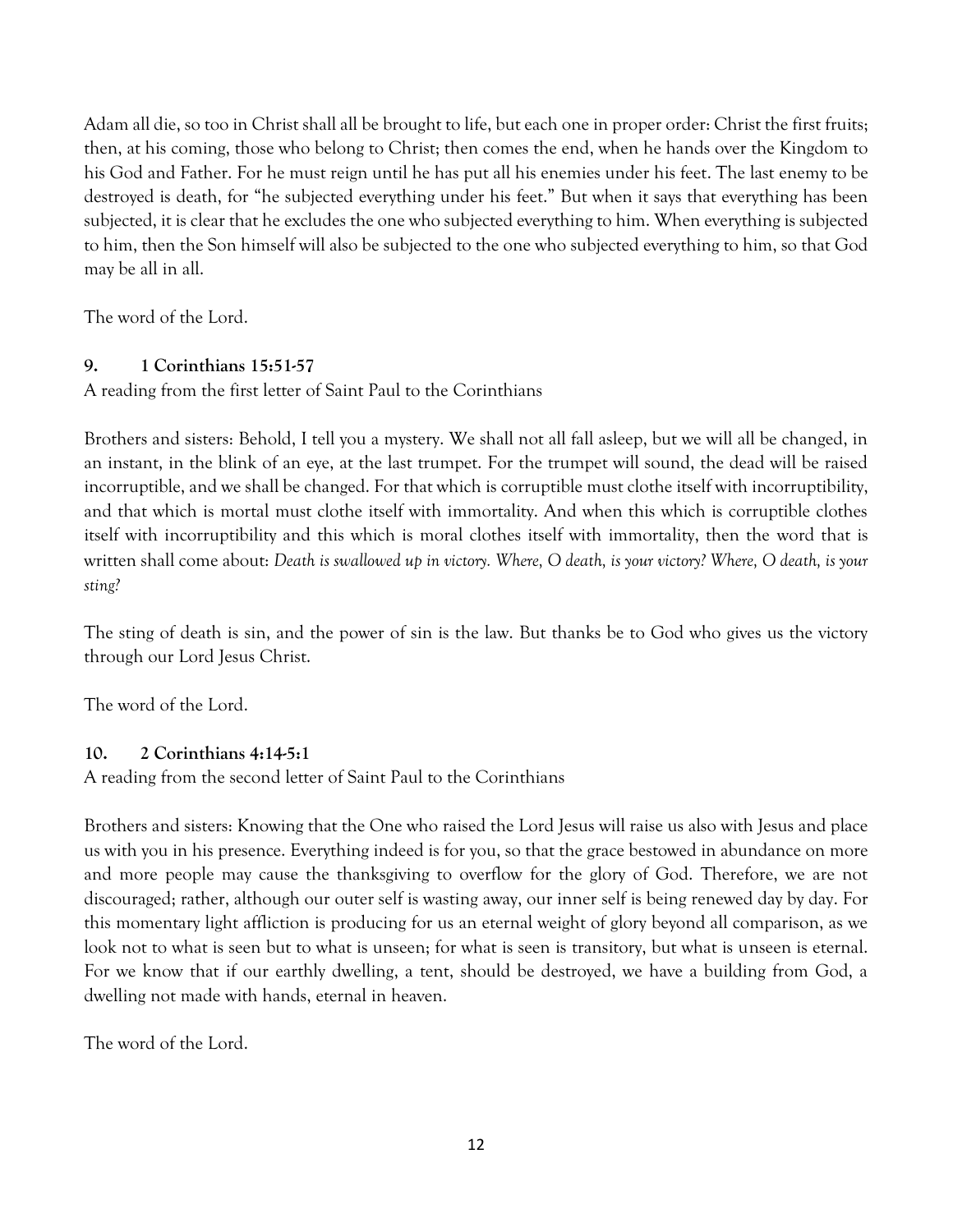Adam all die, so too in Christ shall all be brought to life, but each one in proper order: Christ the first fruits; then, at his coming, those who belong to Christ; then comes the end, when he hands over the Kingdom to his God and Father. For he must reign until he has put all his enemies under his feet. The last enemy to be destroyed is death, for "he subjected everything under his feet." But when it says that everything has been subjected, it is clear that he excludes the one who subjected everything to him. When everything is subjected to him, then the Son himself will also be subjected to the one who subjected everything to him, so that God may be all in all.

The word of the Lord.

#### **9. 1 Corinthians 15:51-57**

A reading from the first letter of Saint Paul to the Corinthians

Brothers and sisters: Behold, I tell you a mystery. We shall not all fall asleep, but we will all be changed, in an instant, in the blink of an eye, at the last trumpet. For the trumpet will sound, the dead will be raised incorruptible, and we shall be changed. For that which is corruptible must clothe itself with incorruptibility, and that which is mortal must clothe itself with immortality. And when this which is corruptible clothes itself with incorruptibility and this which is moral clothes itself with immortality, then the word that is written shall come about: *Death is swallowed up in victory. Where, O death, is your victory? Where, O death, is your sting?*

The sting of death is sin, and the power of sin is the law. But thanks be to God who gives us the victory through our Lord Jesus Christ.

The word of the Lord.

#### **10. 2 Corinthians 4:14-5:1**

A reading from the second letter of Saint Paul to the Corinthians

Brothers and sisters: Knowing that the One who raised the Lord Jesus will raise us also with Jesus and place us with you in his presence. Everything indeed is for you, so that the grace bestowed in abundance on more and more people may cause the thanksgiving to overflow for the glory of God. Therefore, we are not discouraged; rather, although our outer self is wasting away, our inner self is being renewed day by day. For this momentary light affliction is producing for us an eternal weight of glory beyond all comparison, as we look not to what is seen but to what is unseen; for what is seen is transitory, but what is unseen is eternal. For we know that if our earthly dwelling, a tent, should be destroyed, we have a building from God, a dwelling not made with hands, eternal in heaven.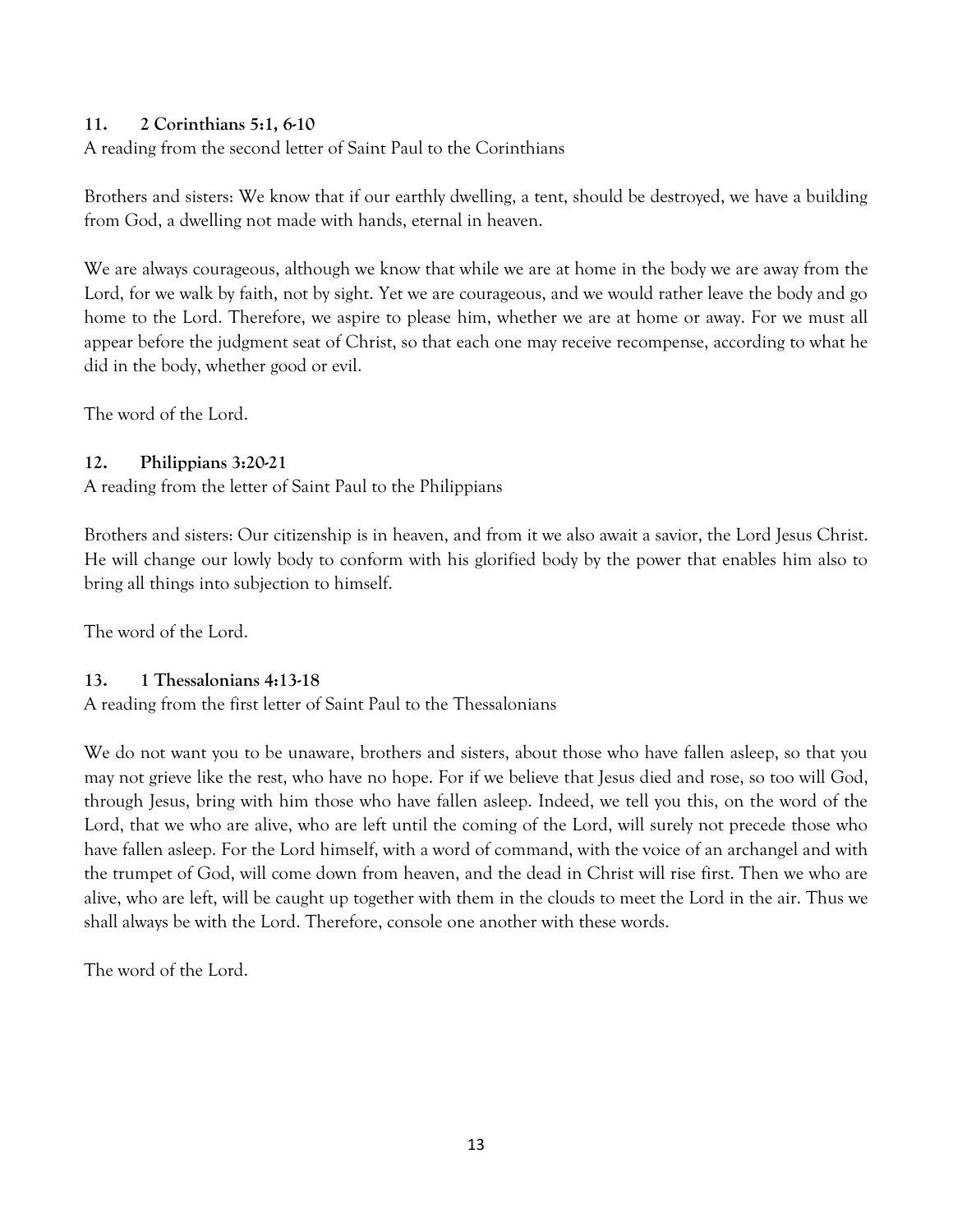#### **11. 2 Corinthians 5:1, 6-10**

A reading from the second letter of Saint Paul to the Corinthians

Brothers and sisters: We know that if our earthly dwelling, a tent, should be destroyed, we have a building from God, a dwelling not made with hands, eternal in heaven.

We are always courageous, although we know that while we are at home in the body we are away from the Lord, for we walk by faith, not by sight. Yet we are courageous, and we would rather leave the body and go home to the Lord. Therefore, we aspire to please him, whether we are at home or away. For we must all appear before the judgment seat of Christ, so that each one may receive recompense, according to what he did in the body, whether good or evil.

The word of the Lord.

#### **12. Philippians 3:20-21**

A reading from the letter of Saint Paul to the Philippians

Brothers and sisters: Our citizenship is in heaven, and from it we also await a savior, the Lord Jesus Christ. He will change our lowly body to conform with his glorified body by the power that enables him also to bring all things into subjection to himself.

The word of the Lord.

#### **13. 1 Thessalonians 4:13-18**

A reading from the first letter of Saint Paul to the Thessalonians

We do not want you to be unaware, brothers and sisters, about those who have fallen asleep, so that you may not grieve like the rest, who have no hope. For if we believe that Jesus died and rose, so too will God, through Jesus, bring with him those who have fallen asleep. Indeed, we tell you this, on the word of the Lord, that we who are alive, who are left until the coming of the Lord, will surely not precede those who have fallen asleep. For the Lord himself, with a word of command, with the voice of an archangel and with the trumpet of God, will come down from heaven, and the dead in Christ will rise first. Then we who are alive, who are left, will be caught up together with them in the clouds to meet the Lord in the air. Thus we shall always be with the Lord. Therefore, console one another with these words.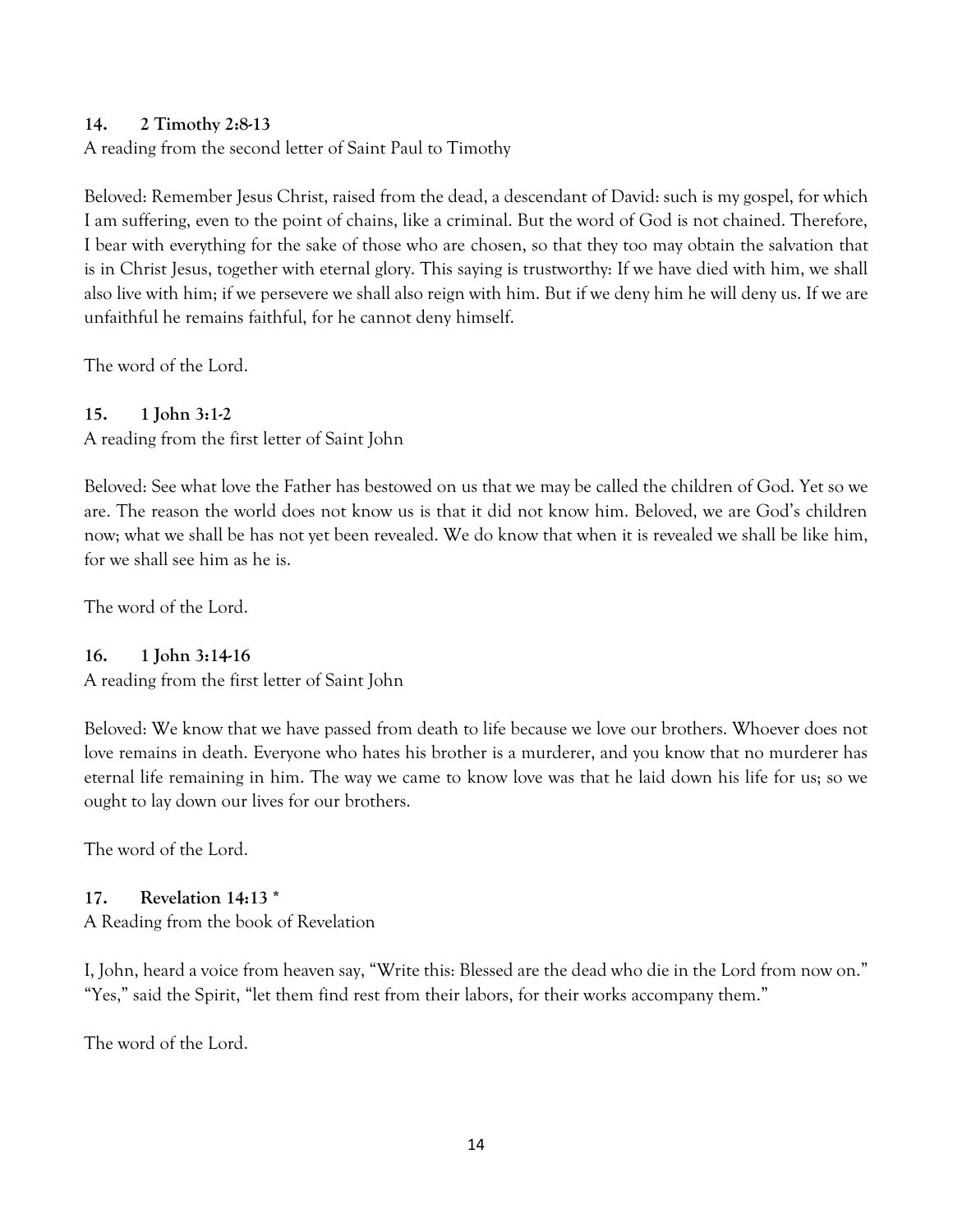#### **14. 2 Timothy 2:8-13**

A reading from the second letter of Saint Paul to Timothy

Beloved: Remember Jesus Christ, raised from the dead, a descendant of David: such is my gospel, for which I am suffering, even to the point of chains, like a criminal. But the word of God is not chained. Therefore, I bear with everything for the sake of those who are chosen, so that they too may obtain the salvation that is in Christ Jesus, together with eternal glory. This saying is trustworthy: If we have died with him, we shall also live with him; if we persevere we shall also reign with him. But if we deny him he will deny us. If we are unfaithful he remains faithful, for he cannot deny himself.

The word of the Lord.

#### **15. 1 John 3:1-2**

A reading from the first letter of Saint John

Beloved: See what love the Father has bestowed on us that we may be called the children of God. Yet so we are. The reason the world does not know us is that it did not know him. Beloved, we are God's children now; what we shall be has not yet been revealed. We do know that when it is revealed we shall be like him, for we shall see him as he is.

The word of the Lord.

#### **16. 1 John 3:14-16**

A reading from the first letter of Saint John

Beloved: We know that we have passed from death to life because we love our brothers. Whoever does not love remains in death. Everyone who hates his brother is a murderer, and you know that no murderer has eternal life remaining in him. The way we came to know love was that he laid down his life for us; so we ought to lay down our lives for our brothers.

The word of the Lord.

#### **17. Revelation 14:13 \***

A Reading from the book of Revelation

I, John, heard a voice from heaven say, "Write this: Blessed are the dead who die in the Lord from now on." "Yes," said the Spirit, "let them find rest from their labors, for their works accompany them."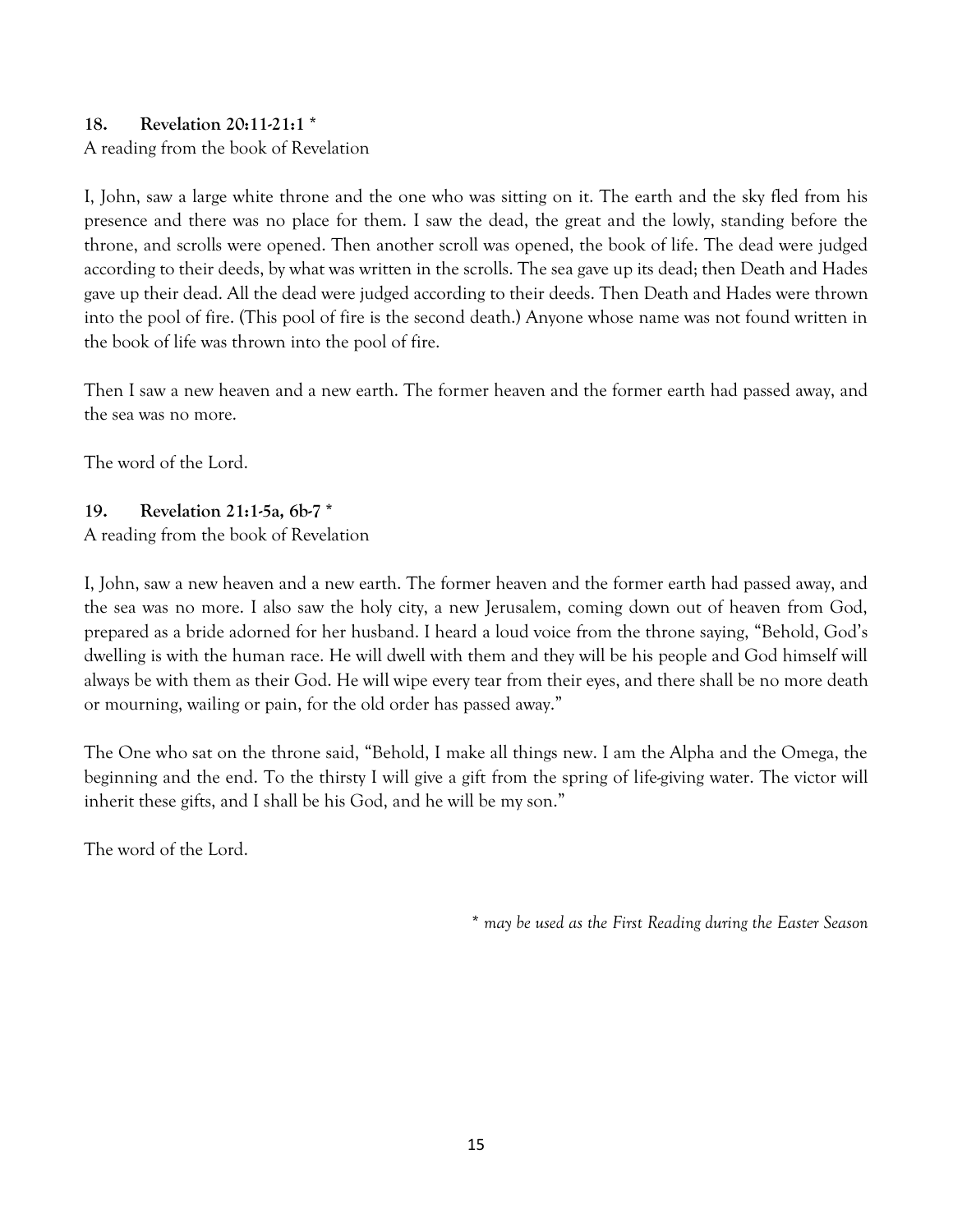#### **18. Revelation 20:11-21:1 \***

A reading from the book of Revelation

I, John, saw a large white throne and the one who was sitting on it. The earth and the sky fled from his presence and there was no place for them. I saw the dead, the great and the lowly, standing before the throne, and scrolls were opened. Then another scroll was opened, the book of life. The dead were judged according to their deeds, by what was written in the scrolls. The sea gave up its dead; then Death and Hades gave up their dead. All the dead were judged according to their deeds. Then Death and Hades were thrown into the pool of fire. (This pool of fire is the second death.) Anyone whose name was not found written in the book of life was thrown into the pool of fire.

Then I saw a new heaven and a new earth. The former heaven and the former earth had passed away, and the sea was no more.

The word of the Lord.

#### **19. Revelation 21:1-5a, 6b-7 \***

A reading from the book of Revelation

I, John, saw a new heaven and a new earth. The former heaven and the former earth had passed away, and the sea was no more. I also saw the holy city, a new Jerusalem, coming down out of heaven from God, prepared as a bride adorned for her husband. I heard a loud voice from the throne saying, "Behold, God's dwelling is with the human race. He will dwell with them and they will be his people and God himself will always be with them as their God. He will wipe every tear from their eyes, and there shall be no more death or mourning, wailing or pain, for the old order has passed away."

The One who sat on the throne said, "Behold, I make all things new. I am the Alpha and the Omega, the beginning and the end. To the thirsty I will give a gift from the spring of life-giving water. The victor will inherit these gifts, and I shall be his God, and he will be my son."

The word of the Lord.

*\* may be used as the First Reading during the Easter Season*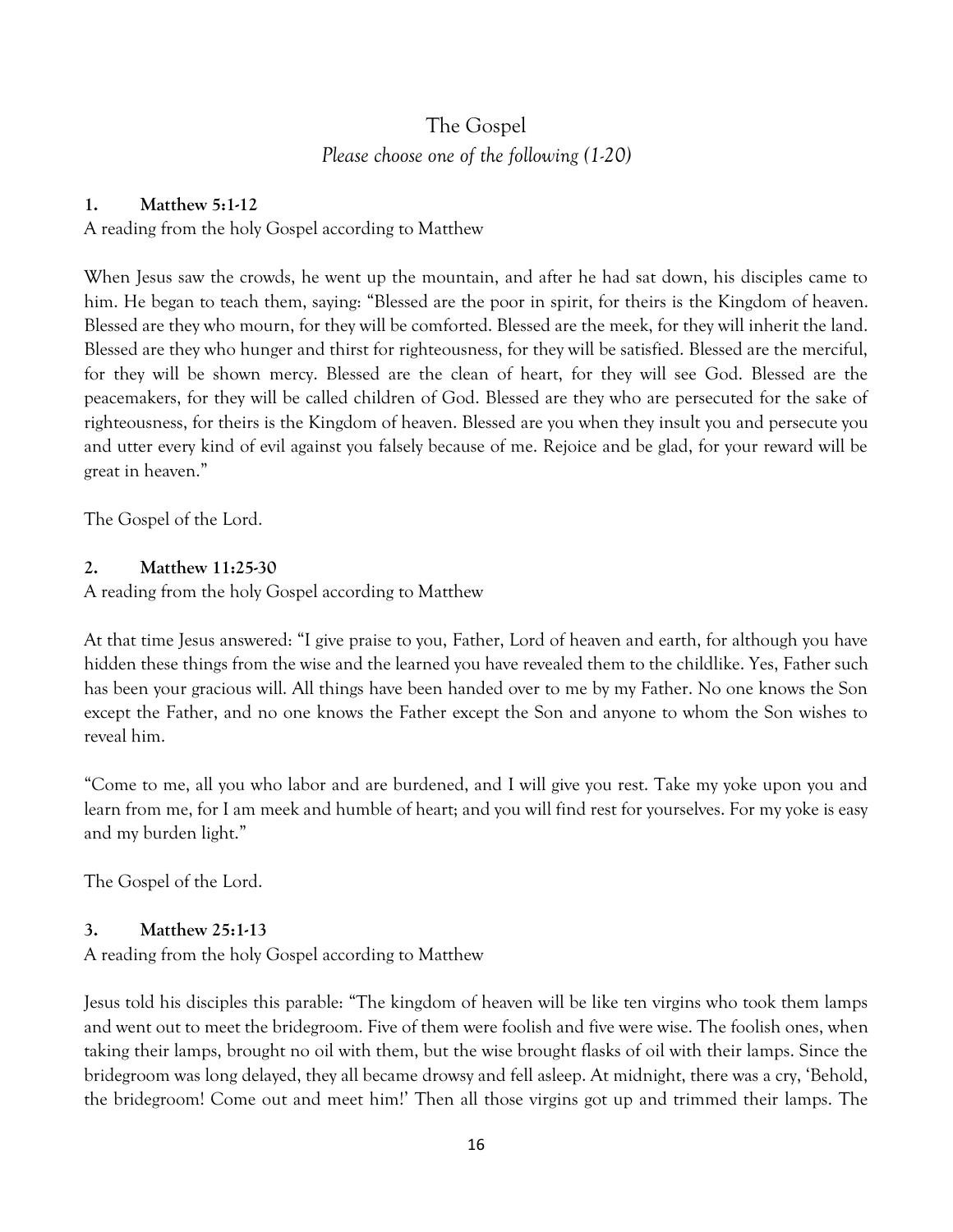### The Gospel *Please choose one of the following (1-20)*

#### **1. Matthew 5:1-12**

A reading from the holy Gospel according to Matthew

When Jesus saw the crowds, he went up the mountain, and after he had sat down, his disciples came to him. He began to teach them, saying: "Blessed are the poor in spirit, for theirs is the Kingdom of heaven. Blessed are they who mourn, for they will be comforted. Blessed are the meek, for they will inherit the land. Blessed are they who hunger and thirst for righteousness, for they will be satisfied. Blessed are the merciful, for they will be shown mercy. Blessed are the clean of heart, for they will see God. Blessed are the peacemakers, for they will be called children of God. Blessed are they who are persecuted for the sake of righteousness, for theirs is the Kingdom of heaven. Blessed are you when they insult you and persecute you and utter every kind of evil against you falsely because of me. Rejoice and be glad, for your reward will be great in heaven."

The Gospel of the Lord.

#### **2. Matthew 11:25-30**

A reading from the holy Gospel according to Matthew

At that time Jesus answered: "I give praise to you, Father, Lord of heaven and earth, for although you have hidden these things from the wise and the learned you have revealed them to the childlike. Yes, Father such has been your gracious will. All things have been handed over to me by my Father. No one knows the Son except the Father, and no one knows the Father except the Son and anyone to whom the Son wishes to reveal him.

"Come to me, all you who labor and are burdened, and I will give you rest. Take my yoke upon you and learn from me, for I am meek and humble of heart; and you will find rest for yourselves. For my yoke is easy and my burden light."

The Gospel of the Lord.

#### **3. Matthew 25:1-13**

A reading from the holy Gospel according to Matthew

Jesus told his disciples this parable: "The kingdom of heaven will be like ten virgins who took them lamps and went out to meet the bridegroom. Five of them were foolish and five were wise. The foolish ones, when taking their lamps, brought no oil with them, but the wise brought flasks of oil with their lamps. Since the bridegroom was long delayed, they all became drowsy and fell asleep. At midnight, there was a cry, 'Behold, the bridegroom! Come out and meet him!' Then all those virgins got up and trimmed their lamps. The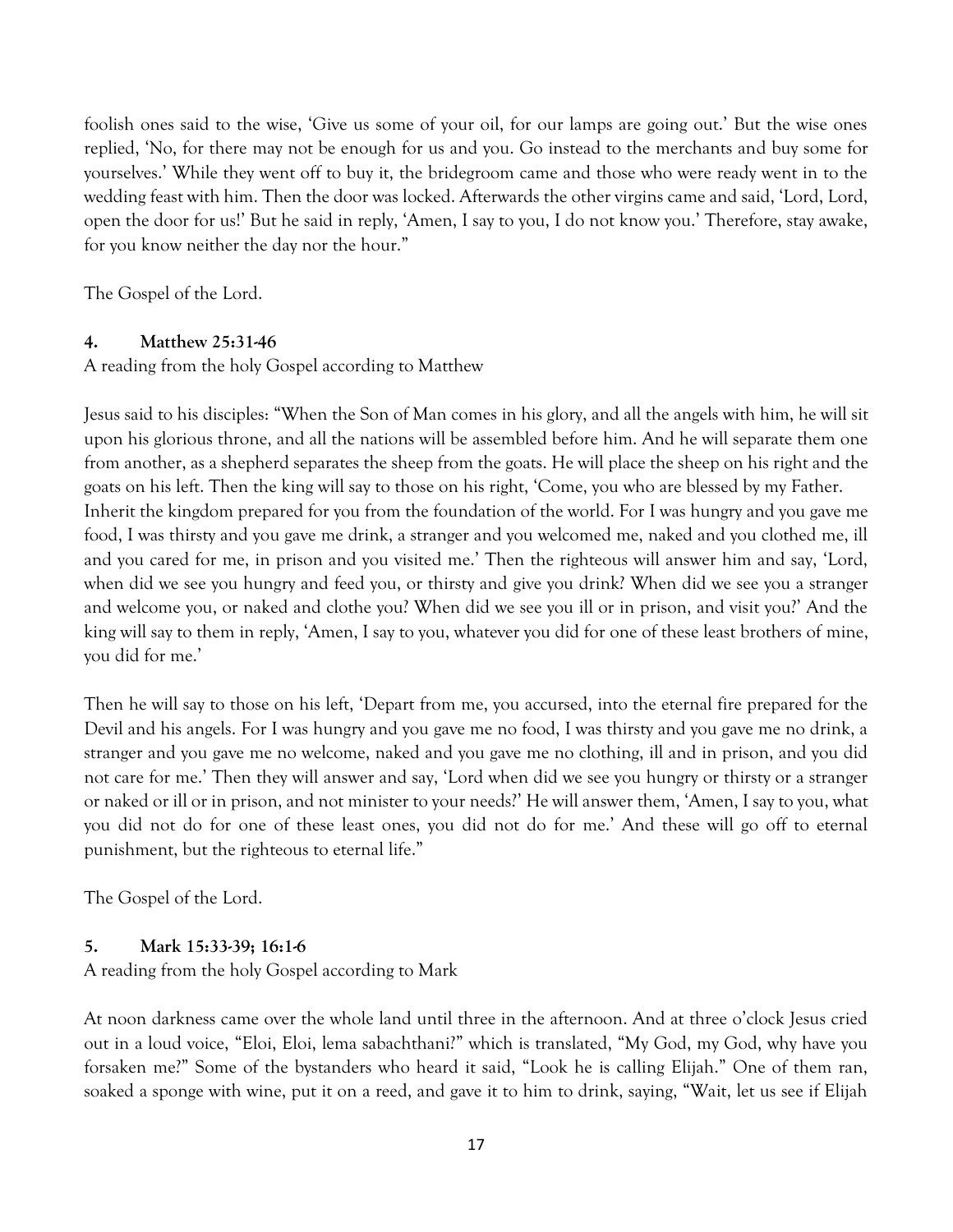foolish ones said to the wise, 'Give us some of your oil, for our lamps are going out.' But the wise ones replied, 'No, for there may not be enough for us and you. Go instead to the merchants and buy some for yourselves.' While they went off to buy it, the bridegroom came and those who were ready went in to the wedding feast with him. Then the door was locked. Afterwards the other virgins came and said, 'Lord, Lord, open the door for us!' But he said in reply, 'Amen, I say to you, I do not know you.' Therefore, stay awake, for you know neither the day nor the hour."

The Gospel of the Lord.

#### **4. Matthew 25:31-46**

A reading from the holy Gospel according to Matthew

Jesus said to his disciples: "When the Son of Man comes in his glory, and all the angels with him, he will sit upon his glorious throne, and all the nations will be assembled before him. And he will separate them one from another, as a shepherd separates the sheep from the goats. He will place the sheep on his right and the goats on his left. Then the king will say to those on his right, 'Come, you who are blessed by my Father. Inherit the kingdom prepared for you from the foundation of the world. For I was hungry and you gave me food, I was thirsty and you gave me drink, a stranger and you welcomed me, naked and you clothed me, ill and you cared for me, in prison and you visited me.' Then the righteous will answer him and say, 'Lord, when did we see you hungry and feed you, or thirsty and give you drink? When did we see you a stranger and welcome you, or naked and clothe you? When did we see you ill or in prison, and visit you?' And the king will say to them in reply, 'Amen, I say to you, whatever you did for one of these least brothers of mine, you did for me.'

Then he will say to those on his left, 'Depart from me, you accursed, into the eternal fire prepared for the Devil and his angels. For I was hungry and you gave me no food, I was thirsty and you gave me no drink, a stranger and you gave me no welcome, naked and you gave me no clothing, ill and in prison, and you did not care for me.' Then they will answer and say, 'Lord when did we see you hungry or thirsty or a stranger or naked or ill or in prison, and not minister to your needs?' He will answer them, 'Amen, I say to you, what you did not do for one of these least ones, you did not do for me.' And these will go off to eternal punishment, but the righteous to eternal life."

The Gospel of the Lord.

#### **5. Mark 15:33-39; 16:1-6**

A reading from the holy Gospel according to Mark

At noon darkness came over the whole land until three in the afternoon. And at three o'clock Jesus cried out in a loud voice, "Eloi, Eloi, lema sabachthani?" which is translated, "My God, my God, why have you forsaken me?" Some of the bystanders who heard it said, "Look he is calling Elijah." One of them ran, soaked a sponge with wine, put it on a reed, and gave it to him to drink, saying, "Wait, let us see if Elijah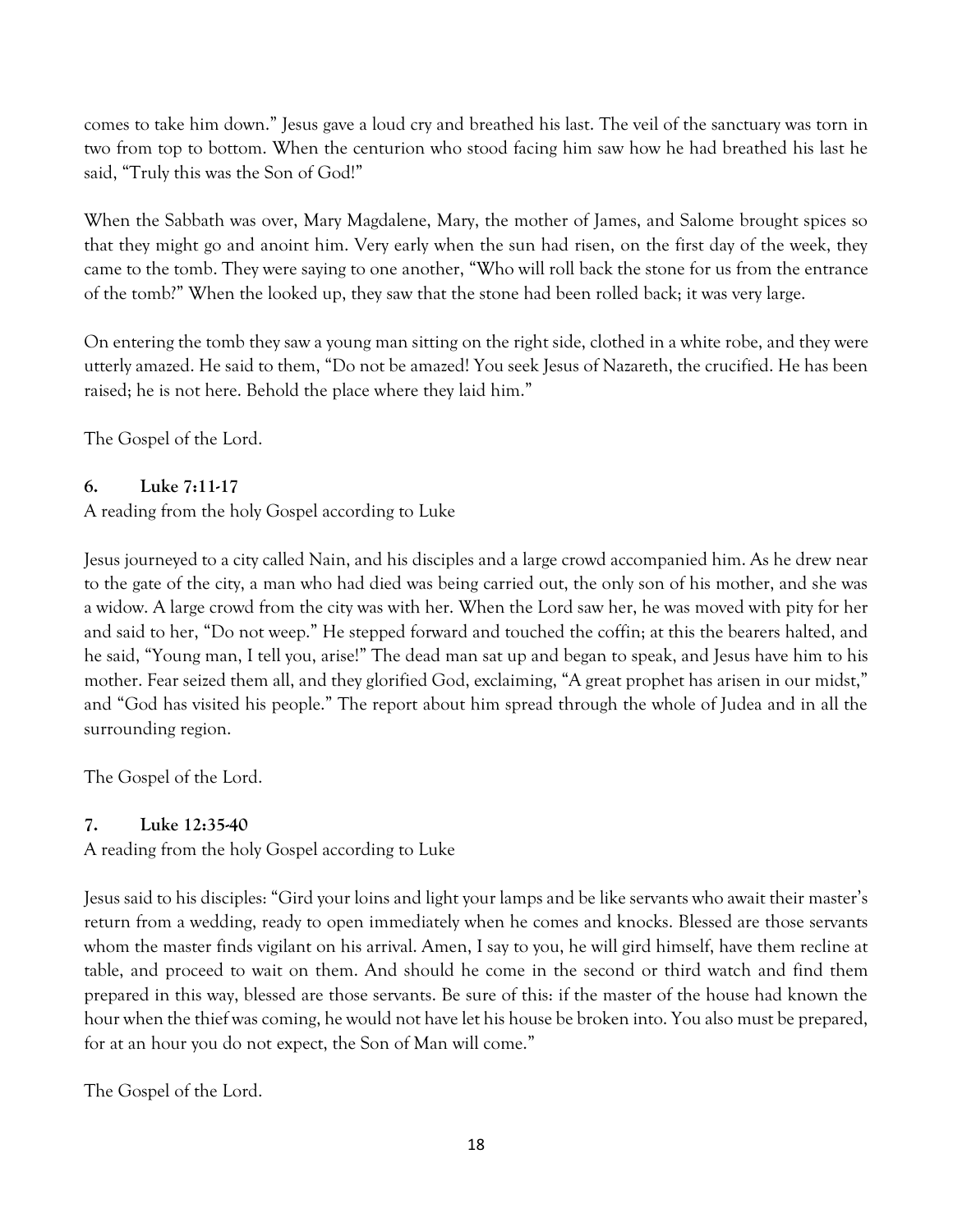comes to take him down." Jesus gave a loud cry and breathed his last. The veil of the sanctuary was torn in two from top to bottom. When the centurion who stood facing him saw how he had breathed his last he said, "Truly this was the Son of God!"

When the Sabbath was over, Mary Magdalene, Mary, the mother of James, and Salome brought spices so that they might go and anoint him. Very early when the sun had risen, on the first day of the week, they came to the tomb. They were saying to one another, "Who will roll back the stone for us from the entrance of the tomb?" When the looked up, they saw that the stone had been rolled back; it was very large.

On entering the tomb they saw a young man sitting on the right side, clothed in a white robe, and they were utterly amazed. He said to them, "Do not be amazed! You seek Jesus of Nazareth, the crucified. He has been raised; he is not here. Behold the place where they laid him."

The Gospel of the Lord.

#### **6. Luke 7:11-17**

A reading from the holy Gospel according to Luke

Jesus journeyed to a city called Nain, and his disciples and a large crowd accompanied him. As he drew near to the gate of the city, a man who had died was being carried out, the only son of his mother, and she was a widow. A large crowd from the city was with her. When the Lord saw her, he was moved with pity for her and said to her, "Do not weep." He stepped forward and touched the coffin; at this the bearers halted, and he said, "Young man, I tell you, arise!" The dead man sat up and began to speak, and Jesus have him to his mother. Fear seized them all, and they glorified God, exclaiming, "A great prophet has arisen in our midst," and "God has visited his people." The report about him spread through the whole of Judea and in all the surrounding region.

The Gospel of the Lord.

#### **7. Luke 12:35-40**

A reading from the holy Gospel according to Luke

Jesus said to his disciples: "Gird your loins and light your lamps and be like servants who await their master's return from a wedding, ready to open immediately when he comes and knocks. Blessed are those servants whom the master finds vigilant on his arrival. Amen, I say to you, he will gird himself, have them recline at table, and proceed to wait on them. And should he come in the second or third watch and find them prepared in this way, blessed are those servants. Be sure of this: if the master of the house had known the hour when the thief was coming, he would not have let his house be broken into. You also must be prepared, for at an hour you do not expect, the Son of Man will come."

The Gospel of the Lord.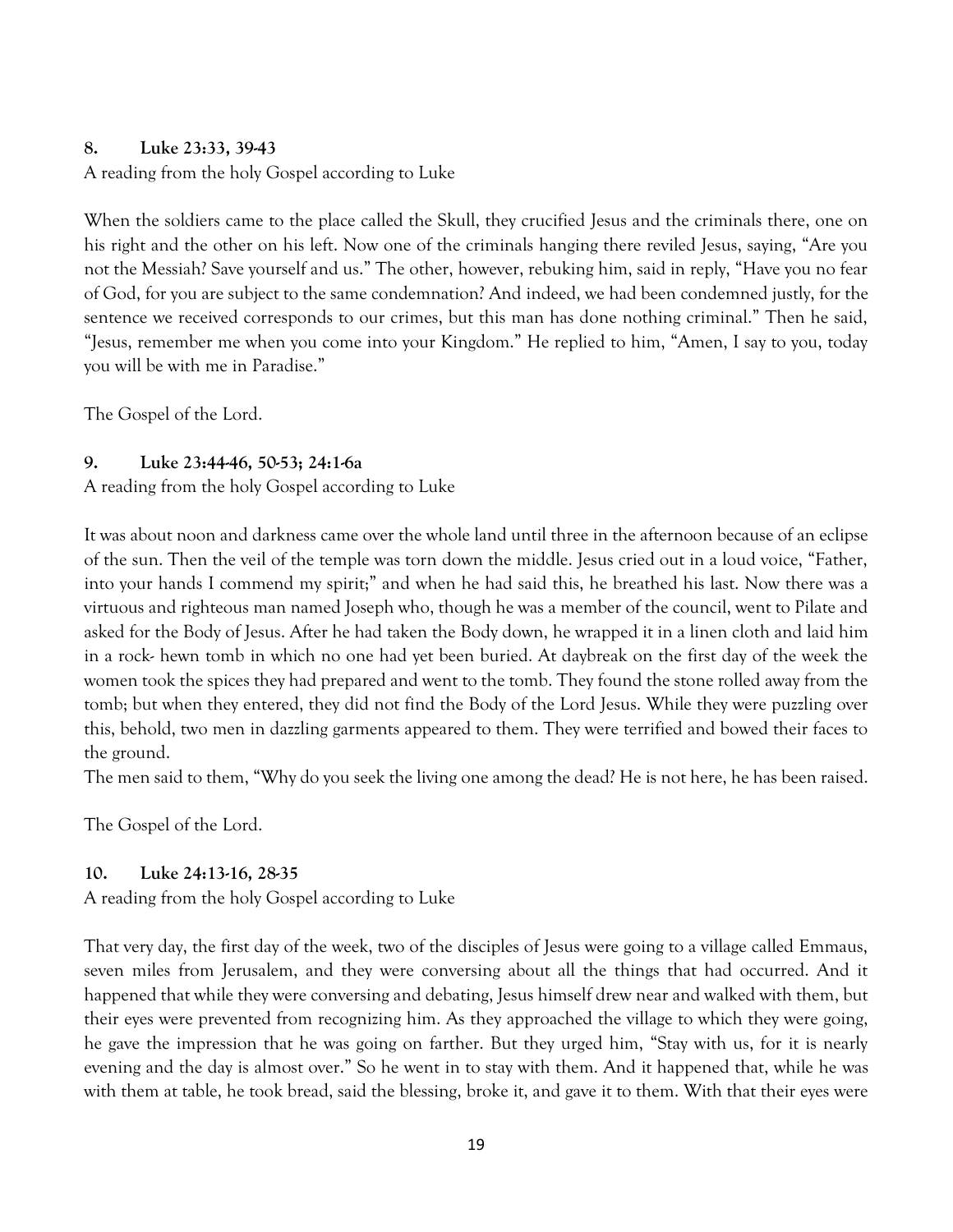#### **8. Luke 23:33, 39-43**

A reading from the holy Gospel according to Luke

When the soldiers came to the place called the Skull, they crucified Jesus and the criminals there, one on his right and the other on his left. Now one of the criminals hanging there reviled Jesus, saying, "Are you not the Messiah? Save yourself and us." The other, however, rebuking him, said in reply, "Have you no fear of God, for you are subject to the same condemnation? And indeed, we had been condemned justly, for the sentence we received corresponds to our crimes, but this man has done nothing criminal." Then he said, "Jesus, remember me when you come into your Kingdom." He replied to him, "Amen, I say to you, today you will be with me in Paradise."

The Gospel of the Lord.

#### **9. Luke 23:44-46, 50-53; 24:1-6a**

A reading from the holy Gospel according to Luke

It was about noon and darkness came over the whole land until three in the afternoon because of an eclipse of the sun. Then the veil of the temple was torn down the middle. Jesus cried out in a loud voice, "Father, into your hands I commend my spirit;" and when he had said this, he breathed his last. Now there was a virtuous and righteous man named Joseph who, though he was a member of the council, went to Pilate and asked for the Body of Jesus. After he had taken the Body down, he wrapped it in a linen cloth and laid him in a rock- hewn tomb in which no one had yet been buried. At daybreak on the first day of the week the women took the spices they had prepared and went to the tomb. They found the stone rolled away from the tomb; but when they entered, they did not find the Body of the Lord Jesus. While they were puzzling over this, behold, two men in dazzling garments appeared to them. They were terrified and bowed their faces to the ground.

The men said to them, "Why do you seek the living one among the dead? He is not here, he has been raised.

The Gospel of the Lord.

#### **10. Luke 24:13-16, 28-35**

A reading from the holy Gospel according to Luke

That very day, the first day of the week, two of the disciples of Jesus were going to a village called Emmaus, seven miles from Jerusalem, and they were conversing about all the things that had occurred. And it happened that while they were conversing and debating, Jesus himself drew near and walked with them, but their eyes were prevented from recognizing him. As they approached the village to which they were going, he gave the impression that he was going on farther. But they urged him, "Stay with us, for it is nearly evening and the day is almost over." So he went in to stay with them. And it happened that, while he was with them at table, he took bread, said the blessing, broke it, and gave it to them. With that their eyes were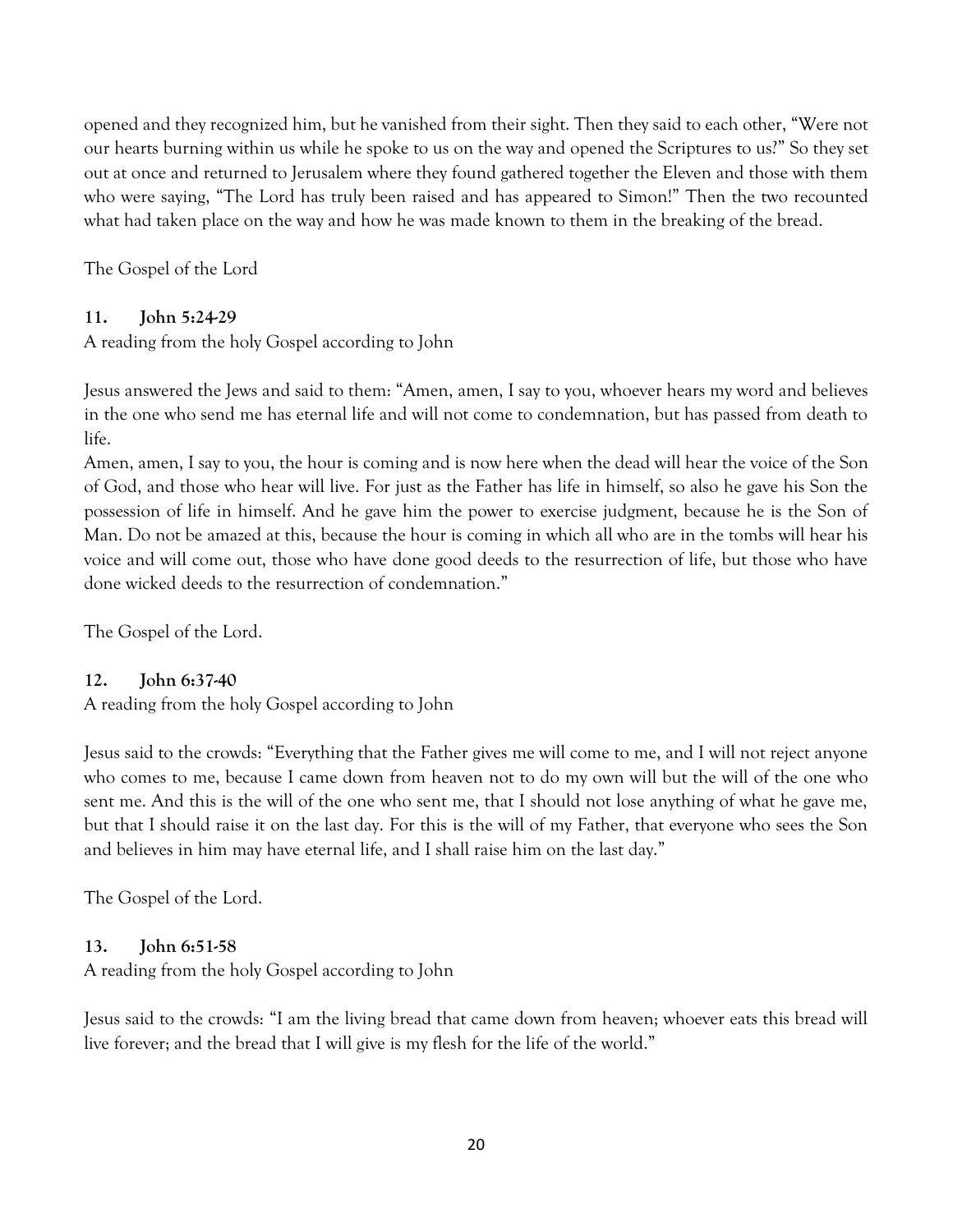opened and they recognized him, but he vanished from their sight. Then they said to each other, "Were not our hearts burning within us while he spoke to us on the way and opened the Scriptures to us?" So they set out at once and returned to Jerusalem where they found gathered together the Eleven and those with them who were saying, "The Lord has truly been raised and has appeared to Simon!" Then the two recounted what had taken place on the way and how he was made known to them in the breaking of the bread.

The Gospel of the Lord

#### **11. John 5:24-29**

A reading from the holy Gospel according to John

Jesus answered the Jews and said to them: "Amen, amen, I say to you, whoever hears my word and believes in the one who send me has eternal life and will not come to condemnation, but has passed from death to life.

Amen, amen, I say to you, the hour is coming and is now here when the dead will hear the voice of the Son of God, and those who hear will live. For just as the Father has life in himself, so also he gave his Son the possession of life in himself. And he gave him the power to exercise judgment, because he is the Son of Man. Do not be amazed at this, because the hour is coming in which all who are in the tombs will hear his voice and will come out, those who have done good deeds to the resurrection of life, but those who have done wicked deeds to the resurrection of condemnation."

The Gospel of the Lord.

#### **12. John 6:37-40**

A reading from the holy Gospel according to John

Jesus said to the crowds: "Everything that the Father gives me will come to me, and I will not reject anyone who comes to me, because I came down from heaven not to do my own will but the will of the one who sent me. And this is the will of the one who sent me, that I should not lose anything of what he gave me, but that I should raise it on the last day. For this is the will of my Father, that everyone who sees the Son and believes in him may have eternal life, and I shall raise him on the last day."

The Gospel of the Lord.

#### **13. John 6:51-58**

A reading from the holy Gospel according to John

Jesus said to the crowds: "I am the living bread that came down from heaven; whoever eats this bread will live forever; and the bread that I will give is my flesh for the life of the world."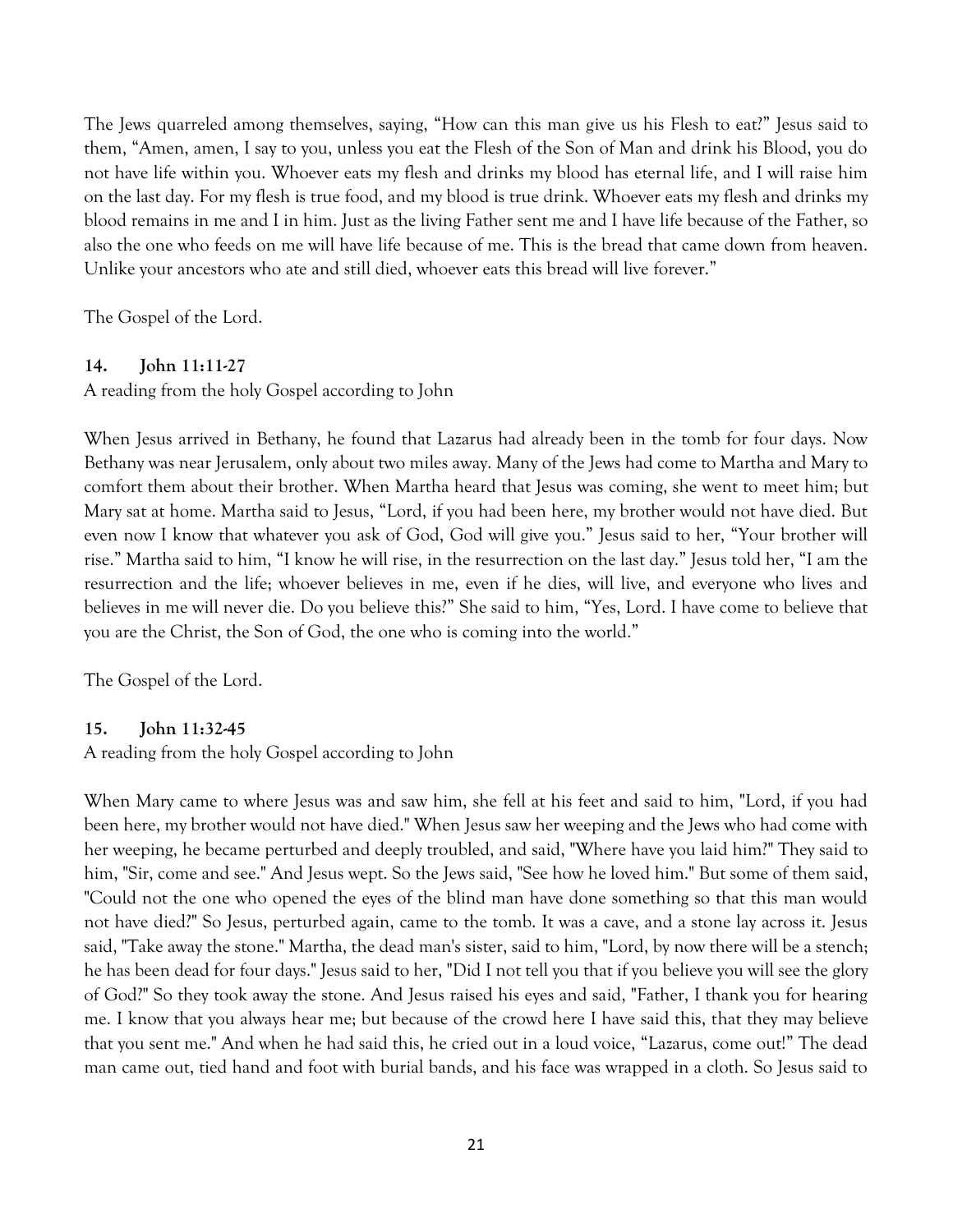The Jews quarreled among themselves, saying, "How can this man give us his Flesh to eat?" Jesus said to them, "Amen, amen, I say to you, unless you eat the Flesh of the Son of Man and drink his Blood, you do not have life within you. Whoever eats my flesh and drinks my blood has eternal life, and I will raise him on the last day. For my flesh is true food, and my blood is true drink. Whoever eats my flesh and drinks my blood remains in me and I in him. Just as the living Father sent me and I have life because of the Father, so also the one who feeds on me will have life because of me. This is the bread that came down from heaven. Unlike your ancestors who ate and still died, whoever eats this bread will live forever."

The Gospel of the Lord.

#### **14. John 11:11-27**

A reading from the holy Gospel according to John

When Jesus arrived in Bethany, he found that Lazarus had already been in the tomb for four days. Now Bethany was near Jerusalem, only about two miles away. Many of the Jews had come to Martha and Mary to comfort them about their brother. When Martha heard that Jesus was coming, she went to meet him; but Mary sat at home. Martha said to Jesus, "Lord, if you had been here, my brother would not have died. But even now I know that whatever you ask of God, God will give you." Jesus said to her, "Your brother will rise." Martha said to him, "I know he will rise, in the resurrection on the last day." Jesus told her, "I am the resurrection and the life; whoever believes in me, even if he dies, will live, and everyone who lives and believes in me will never die. Do you believe this?" She said to him, "Yes, Lord. I have come to believe that you are the Christ, the Son of God, the one who is coming into the world."

The Gospel of the Lord.

#### **15. John 11:32-45**

A reading from the holy Gospel according to John

When Mary came to where Jesus was and saw him, she fell at his feet and said to him, "Lord, if you had been here, my brother would not have died." When Jesus saw her weeping and the Jews who had come with her weeping, he became perturbed and deeply troubled, and said, "Where have you laid him?" They said to him, "Sir, come and see." And Jesus wept. So the Jews said, "See how he loved him." But some of them said, "Could not the one who opened the eyes of the blind man have done something so that this man would not have died?" So Jesus, perturbed again, came to the tomb. It was a cave, and a stone lay across it. Jesus said, "Take away the stone." Martha, the dead man's sister, said to him, "Lord, by now there will be a stench; he has been dead for four days." Jesus said to her, "Did I not tell you that if you believe you will see the glory of God?" So they took away the stone. And Jesus raised his eyes and said, "Father, I thank you for hearing me. I know that you always hear me; but because of the crowd here I have said this, that they may believe that you sent me." And when he had said this, he cried out in a loud voice, "Lazarus, come out!" The dead man came out, tied hand and foot with burial bands, and his face was wrapped in a cloth. So Jesus said to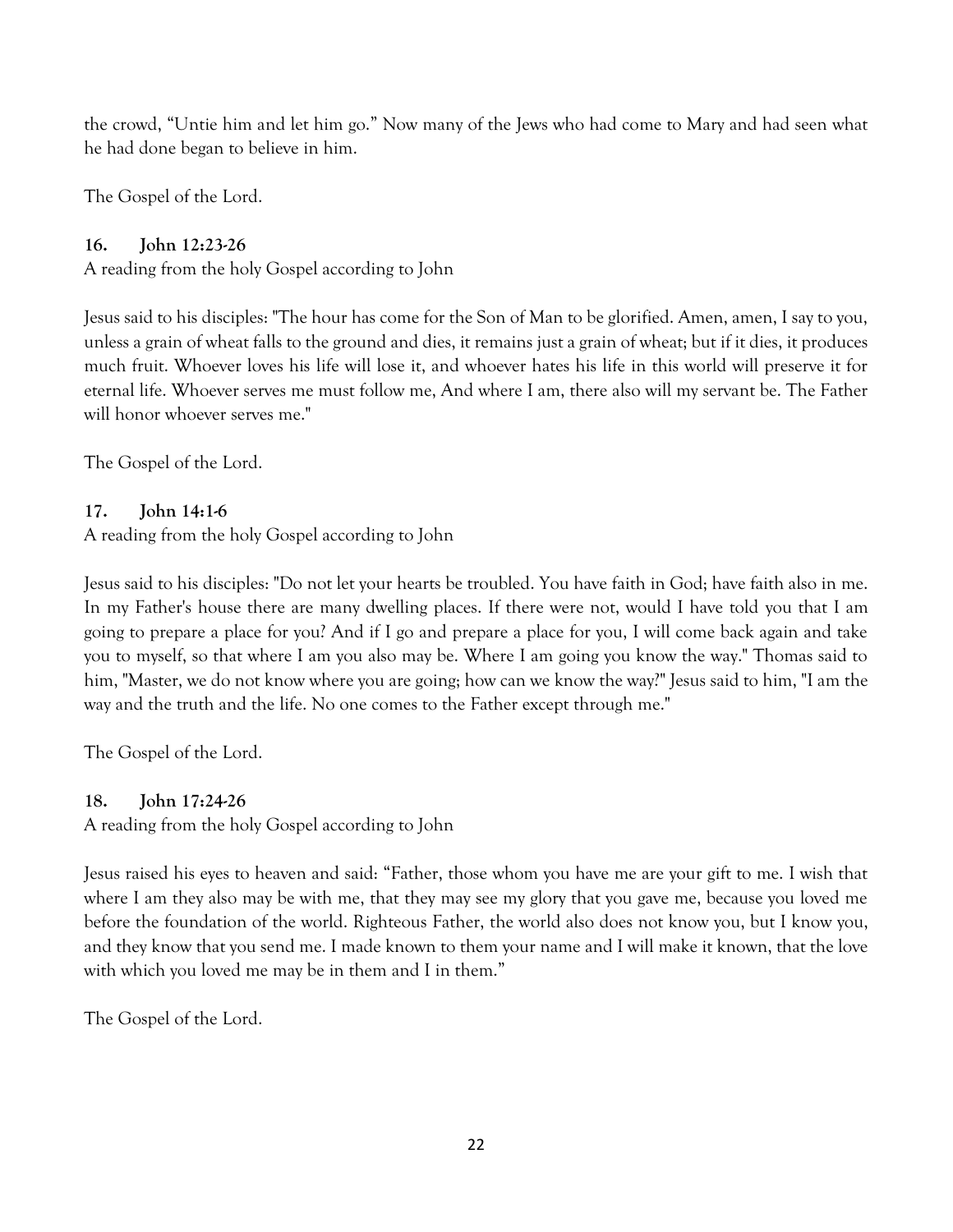the crowd, "Untie him and let him go." Now many of the Jews who had come to Mary and had seen what he had done began to believe in him.

The Gospel of the Lord.

#### **16. John 12:23-26**

A reading from the holy Gospel according to John

Jesus said to his disciples: "The hour has come for the Son of Man to be glorified. Amen, amen, I say to you, unless a grain of wheat falls to the ground and dies, it remains just a grain of wheat; but if it dies, it produces much fruit. Whoever loves his life will lose it, and whoever hates his life in this world will preserve it for eternal life. Whoever serves me must follow me, And where I am, there also will my servant be. The Father will honor whoever serves me."

The Gospel of the Lord.

#### **17. John 14:1-6**

A reading from the holy Gospel according to John

Jesus said to his disciples: "Do not let your hearts be troubled. You have faith in God; have faith also in me. In my Father's house there are many dwelling places. If there were not, would I have told you that I am going to prepare a place for you? And if I go and prepare a place for you, I will come back again and take you to myself, so that where I am you also may be. Where I am going you know the way." Thomas said to him, "Master, we do not know where you are going; how can we know the way?" Jesus said to him, "I am the way and the truth and the life. No one comes to the Father except through me."

The Gospel of the Lord.

#### **18. John 17:24-26**

A reading from the holy Gospel according to John

Jesus raised his eyes to heaven and said: "Father, those whom you have me are your gift to me. I wish that where I am they also may be with me, that they may see my glory that you gave me, because you loved me before the foundation of the world. Righteous Father, the world also does not know you, but I know you, and they know that you send me. I made known to them your name and I will make it known, that the love with which you loved me may be in them and I in them."

The Gospel of the Lord.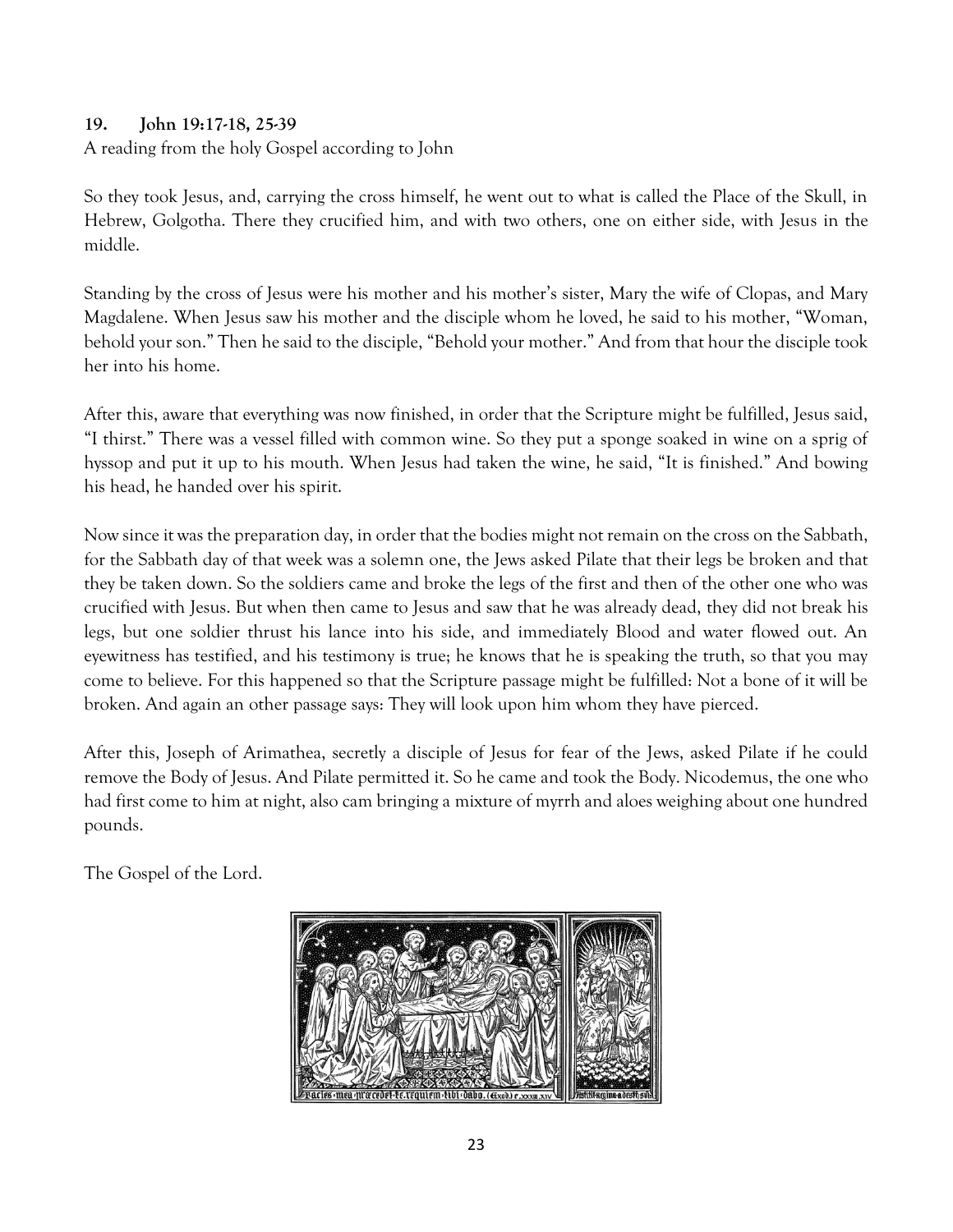#### **19. John 19:17-18, 25-39**

A reading from the holy Gospel according to John

So they took Jesus, and, carrying the cross himself, he went out to what is called the Place of the Skull, in Hebrew, Golgotha. There they crucified him, and with two others, one on either side, with Jesus in the middle.

Standing by the cross of Jesus were his mother and his mother's sister, Mary the wife of Clopas, and Mary Magdalene. When Jesus saw his mother and the disciple whom he loved, he said to his mother, "Woman, behold your son." Then he said to the disciple, "Behold your mother." And from that hour the disciple took her into his home.

After this, aware that everything was now finished, in order that the Scripture might be fulfilled, Jesus said, "I thirst." There was a vessel filled with common wine. So they put a sponge soaked in wine on a sprig of hyssop and put it up to his mouth. When Jesus had taken the wine, he said, "It is finished." And bowing his head, he handed over his spirit.

Now since it was the preparation day, in order that the bodies might not remain on the cross on the Sabbath, for the Sabbath day of that week was a solemn one, the Jews asked Pilate that their legs be broken and that they be taken down. So the soldiers came and broke the legs of the first and then of the other one who was crucified with Jesus. But when then came to Jesus and saw that he was already dead, they did not break his legs, but one soldier thrust his lance into his side, and immediately Blood and water flowed out. An eyewitness has testified, and his testimony is true; he knows that he is speaking the truth, so that you may come to believe. For this happened so that the Scripture passage might be fulfilled: Not a bone of it will be broken. And again an other passage says: They will look upon him whom they have pierced.

After this, Joseph of Arimathea, secretly a disciple of Jesus for fear of the Jews, asked Pilate if he could remove the Body of Jesus. And Pilate permitted it. So he came and took the Body. Nicodemus, the one who had first come to him at night, also cam bringing a mixture of myrrh and aloes weighing about one hundred pounds.

The Gospel of the Lord.

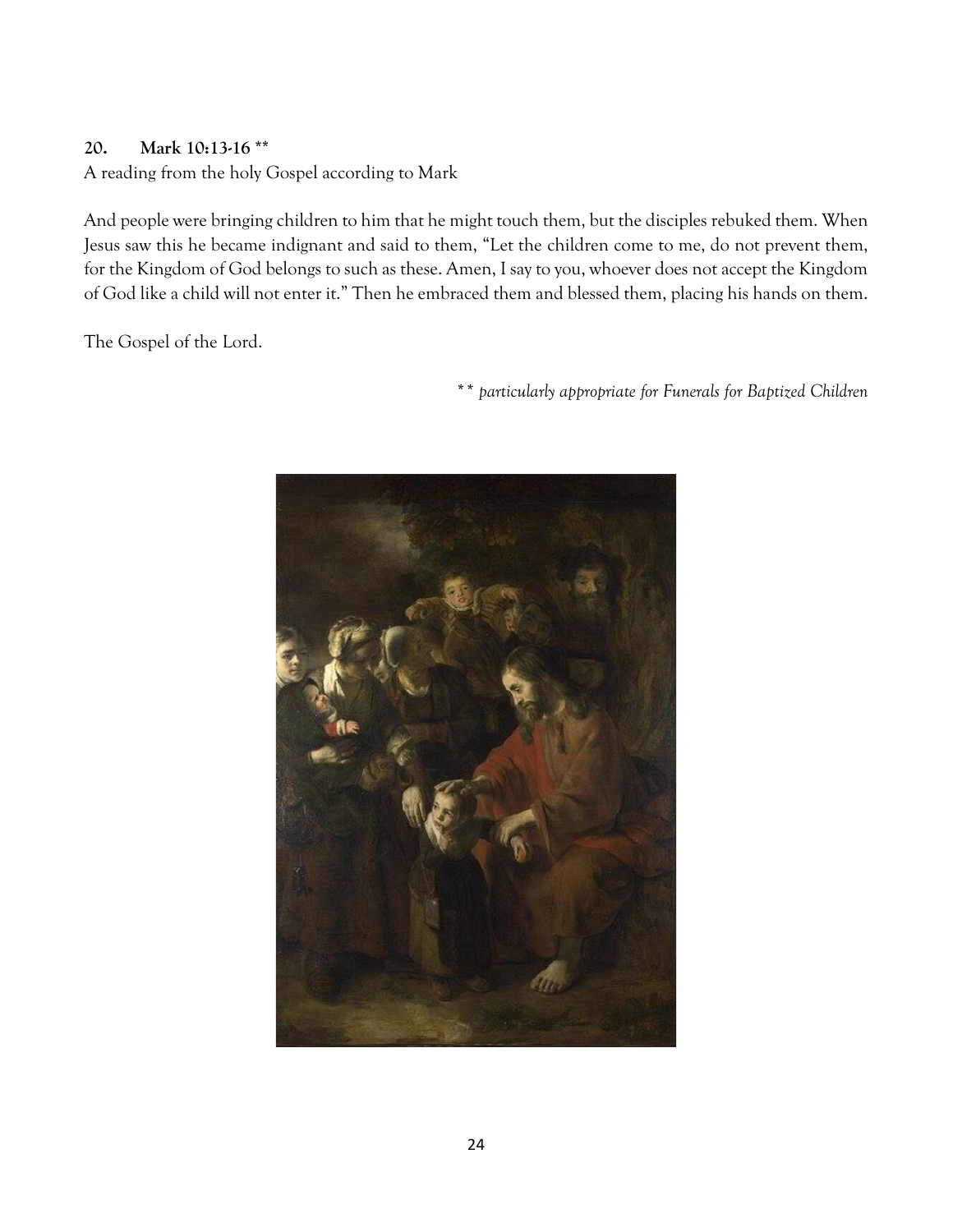#### **20. Mark 10:13-16 \*\***

A reading from the holy Gospel according to Mark

And people were bringing children to him that he might touch them, but the disciples rebuked them. When Jesus saw this he became indignant and said to them, "Let the children come to me, do not prevent them, for the Kingdom of God belongs to such as these. Amen, I say to you, whoever does not accept the Kingdom of God like a child will not enter it." Then he embraced them and blessed them, placing his hands on them.

The Gospel of the Lord.

*\*\* particularly appropriate for Funerals for Baptized Children*

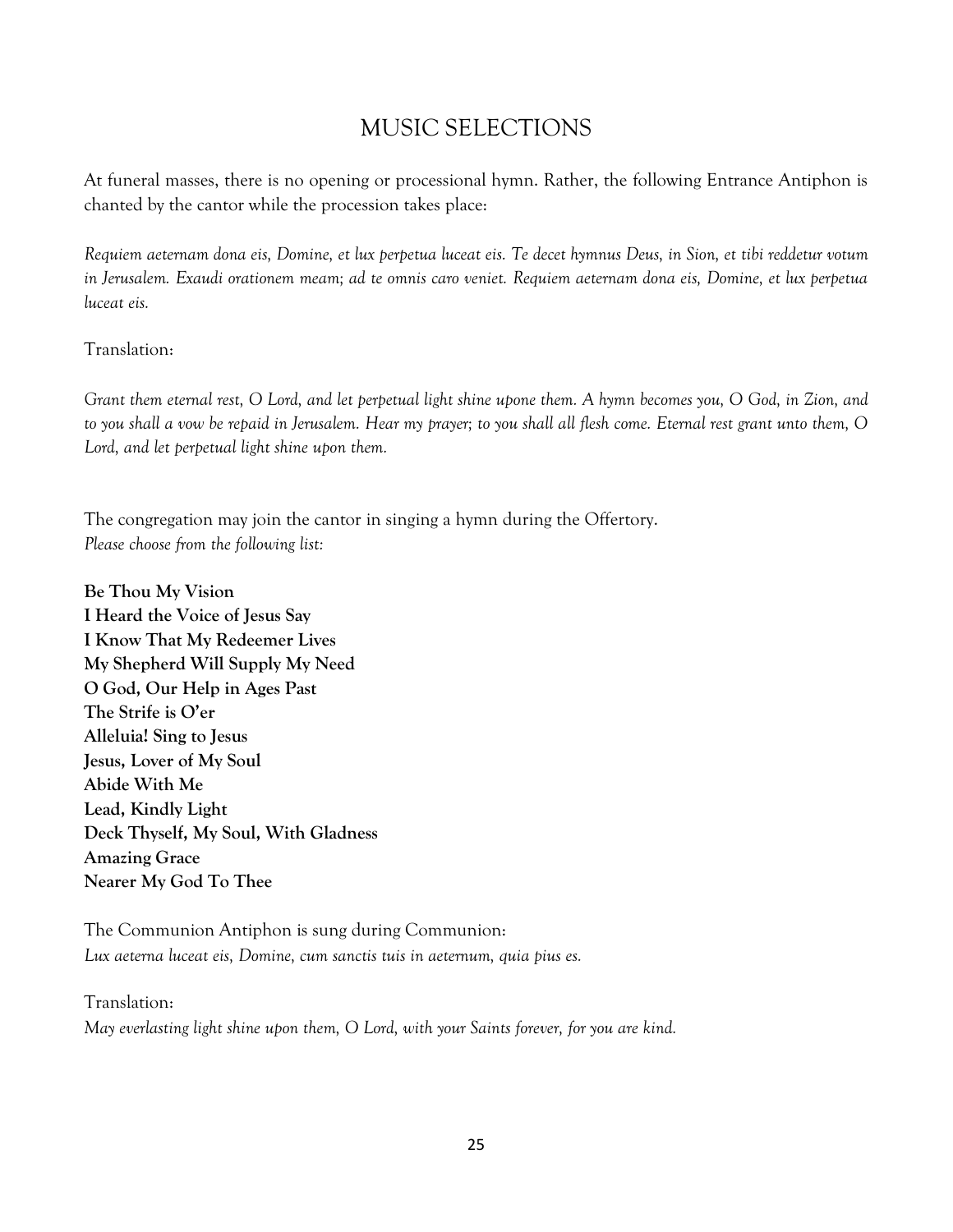### MUSIC SELECTIONS

At funeral masses, there is no opening or processional hymn. Rather, the following Entrance Antiphon is chanted by the cantor while the procession takes place:

*Requiem aeternam dona eis, Domine, et lux perpetua luceat eis. Te decet hymnus Deus, in Sion, et tibi reddetur votum in Jerusalem. Exaudi orationem meam; ad te omnis caro veniet. Requiem aeternam dona eis, Domine, et lux perpetua luceat eis.*

#### Translation:

*Grant them eternal rest, O Lord, and let perpetual light shine upone them. A hymn becomes you, O God, in Zion, and to you shall a vow be repaid in Jerusalem. Hear my prayer; to you shall all flesh come. Eternal rest grant unto them, O Lord, and let perpetual light shine upon them.*

The congregation may join the cantor in singing a hymn during the Offertory. *Please choose from the following list:*

**Be Thou My Vision I Heard the Voice of Jesus Say I Know That My Redeemer Lives My Shepherd Will Supply My Need O God, Our Help in Ages Past The Strife is O'er Alleluia! Sing to Jesus Jesus, Lover of My Soul Abide With Me Lead, Kindly Light Deck Thyself, My Soul, With Gladness Amazing Grace Nearer My God To Thee**

The Communion Antiphon is sung during Communion: *Lux aeterna luceat eis, Domine, cum sanctis tuis in aeternum, quia pius es.*

Translation:

*May everlasting light shine upon them, O Lord, with your Saints forever, for you are kind.*